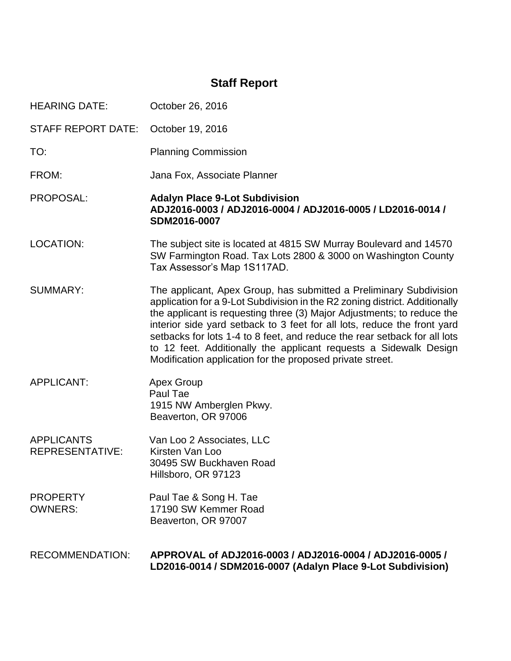# **Staff Report**

| <b>HEARING DATE:</b>                        | October 26, 2016                                                                                                                                                                                                                                                                                                                                                                                                                                                                                                       |
|---------------------------------------------|------------------------------------------------------------------------------------------------------------------------------------------------------------------------------------------------------------------------------------------------------------------------------------------------------------------------------------------------------------------------------------------------------------------------------------------------------------------------------------------------------------------------|
| <b>STAFF REPORT DATE:</b>                   | October 19, 2016                                                                                                                                                                                                                                                                                                                                                                                                                                                                                                       |
| TO:                                         | <b>Planning Commission</b>                                                                                                                                                                                                                                                                                                                                                                                                                                                                                             |
| FROM:                                       | Jana Fox, Associate Planner                                                                                                                                                                                                                                                                                                                                                                                                                                                                                            |
| PROPOSAL:                                   | <b>Adalyn Place 9-Lot Subdivision</b><br>ADJ2016-0003 / ADJ2016-0004 / ADJ2016-0005 / LD2016-0014 /<br>SDM2016-0007                                                                                                                                                                                                                                                                                                                                                                                                    |
| <b>LOCATION:</b>                            | The subject site is located at 4815 SW Murray Boulevard and 14570<br>SW Farmington Road. Tax Lots 2800 & 3000 on Washington County<br>Tax Assessor's Map 1S117AD.                                                                                                                                                                                                                                                                                                                                                      |
| <b>SUMMARY:</b>                             | The applicant, Apex Group, has submitted a Preliminary Subdivision<br>application for a 9-Lot Subdivision in the R2 zoning district. Additionally<br>the applicant is requesting three (3) Major Adjustments; to reduce the<br>interior side yard setback to 3 feet for all lots, reduce the front yard<br>setbacks for lots 1-4 to 8 feet, and reduce the rear setback for all lots<br>to 12 feet. Additionally the applicant requests a Sidewalk Design<br>Modification application for the proposed private street. |
| <b>APPLICANT:</b>                           | <b>Apex Group</b><br>Paul Tae<br>1915 NW Amberglen Pkwy.<br>Beaverton, OR 97006                                                                                                                                                                                                                                                                                                                                                                                                                                        |
| <b>APPLICANTS</b><br><b>REPRESENTATIVE:</b> | Van Loo 2 Associates, LLC<br>Kirsten Van Loo<br>30495 SW Buckhaven Road<br>Hillsboro, OR 97123                                                                                                                                                                                                                                                                                                                                                                                                                         |
| <b>PROPERTY</b><br><b>OWNERS:</b>           | Paul Tae & Song H. Tae<br>17190 SW Kemmer Road<br>Beaverton, OR 97007                                                                                                                                                                                                                                                                                                                                                                                                                                                  |
| <b>RECOMMENDATION:</b>                      | APPROVAL of ADJ2016-0003 / ADJ2016-0004 / ADJ2016-0005 /<br>LD2016-0014 / SDM2016-0007 (Adalyn Place 9-Lot Subdivision)                                                                                                                                                                                                                                                                                                                                                                                                |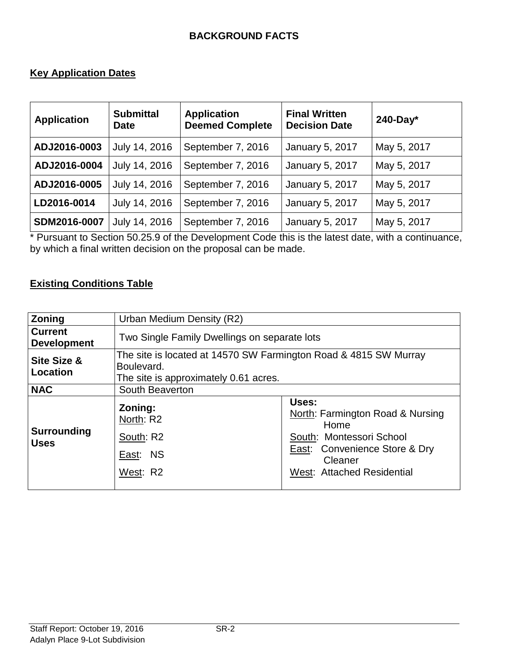#### **BACKGROUND FACTS**

#### **Key Application Dates**

| <b>Application</b> | <b>Submittal</b><br><b>Date</b> | <b>Application</b><br><b>Deemed Complete</b> | <b>Final Written</b><br><b>Decision Date</b> | $240$ -Day* |
|--------------------|---------------------------------|----------------------------------------------|----------------------------------------------|-------------|
| ADJ2016-0003       | July 14, 2016                   | September 7, 2016                            | January 5, 2017                              | May 5, 2017 |
| ADJ2016-0004       | July 14, 2016                   | September 7, 2016                            | <b>January 5, 2017</b>                       | May 5, 2017 |
| ADJ2016-0005       | July 14, 2016                   | September 7, 2016                            | January 5, 2017                              | May 5, 2017 |
| LD2016-0014        | July 14, 2016                   | September 7, 2016                            | January 5, 2017                              | May 5, 2017 |
| SDM2016-0007       | July 14, 2016                   | September 7, 2016                            | <b>January 5, 2017</b>                       | May 5, 2017 |

\* Pursuant to Section 50.25.9 of the Development Code this is the latest date, with a continuance, by which a final written decision on the proposal can be made.

# **Existing Conditions Table**

| <b>Zoning</b>                        | Urban Medium Density (R2)                                                                                               |                                                   |  |
|--------------------------------------|-------------------------------------------------------------------------------------------------------------------------|---------------------------------------------------|--|
| <b>Current</b><br><b>Development</b> | Two Single Family Dwellings on separate lots                                                                            |                                                   |  |
| <b>Site Size &amp;</b><br>Location   | The site is located at 14570 SW Farmington Road & 4815 SW Murray<br>Boulevard.<br>The site is approximately 0.61 acres. |                                                   |  |
| <b>NAC</b>                           | South Beaverton                                                                                                         |                                                   |  |
| <b>Surrounding</b><br><b>Uses</b>    | Zoning:<br>North: R2                                                                                                    | Uses:<br>North: Farmington Road & Nursing<br>Home |  |
|                                      | South: R2                                                                                                               | South: Montessori School                          |  |
|                                      | East: NS                                                                                                                | East: Convenience Store & Dry<br>Cleaner          |  |
|                                      | West: R2                                                                                                                | West: Attached Residential                        |  |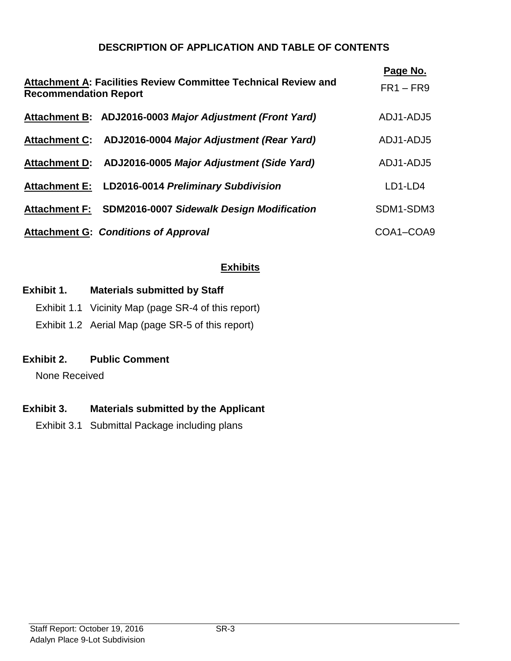## **DESCRIPTION OF APPLICATION AND TABLE OF CONTENTS**

|                              | <b>Attachment A: Facilities Review Committee Technical Review and</b> | Page No.    |
|------------------------------|-----------------------------------------------------------------------|-------------|
| <b>Recommendation Report</b> |                                                                       | $FR1 - FR9$ |
|                              | Attachment B: ADJ2016-0003 Major Adjustment (Front Yard)              | ADJ1-ADJ5   |
|                              | Attachment C: ADJ2016-0004 Major Adjustment (Rear Yard)               | ADJ1-ADJ5   |
|                              | Attachment D: ADJ2016-0005 Major Adjustment (Side Yard)               | ADJ1-ADJ5   |
|                              | Attachment E: LD2016-0014 Preliminary Subdivision                     | LD1-LD4     |
|                              | Attachment F: SDM2016-0007 Sidewalk Design Modification               | SDM1-SDM3   |
|                              | <b>Attachment G: Conditions of Approval</b>                           | COA1-COA9   |

## **Exhibits**

## **Exhibit 1. Materials submitted by Staff**

- Exhibit 1.1 Vicinity Map (page SR-4 of this report)
- Exhibit 1.2 Aerial Map (page SR-5 of this report)

## **Exhibit 2. Public Comment**

None Received

# **Exhibit 3. Materials submitted by the Applicant**

Exhibit 3.1 Submittal Package including plans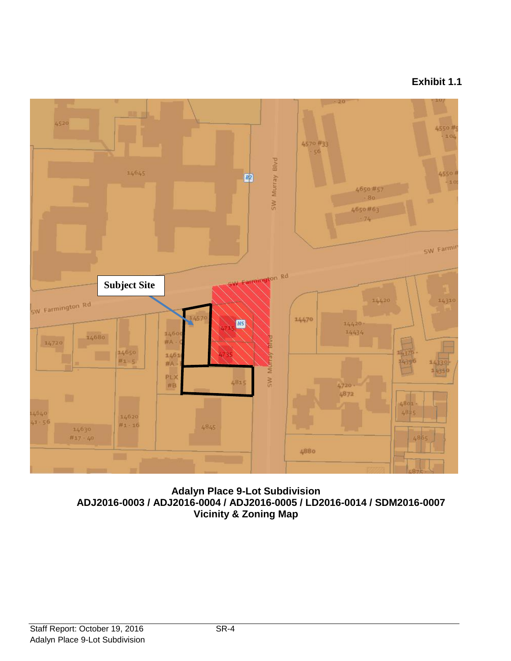# **Exhibit 1.1**



**Adalyn Place 9-Lot Subdivision ADJ2016-0003 / ADJ2016-0004 / ADJ2016-0005 / LD2016-0014 / SDM2016-0007 Vicinity & Zoning Map**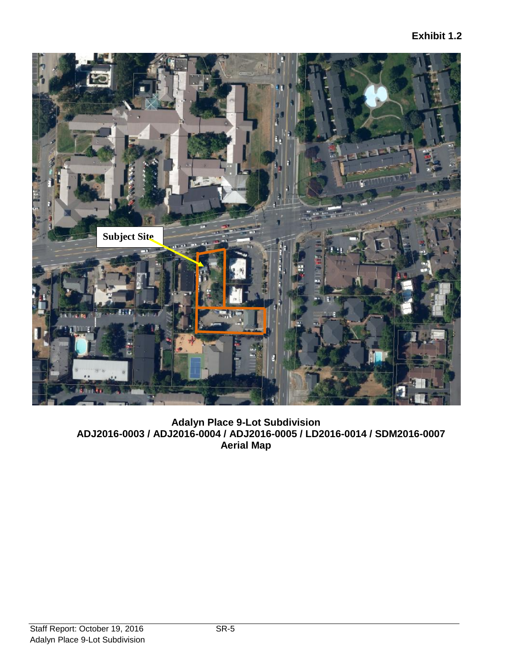

**Adalyn Place 9-Lot Subdivision ADJ2016-0003 / ADJ2016-0004 / ADJ2016-0005 / LD2016-0014 / SDM2016-0007 Aerial Map**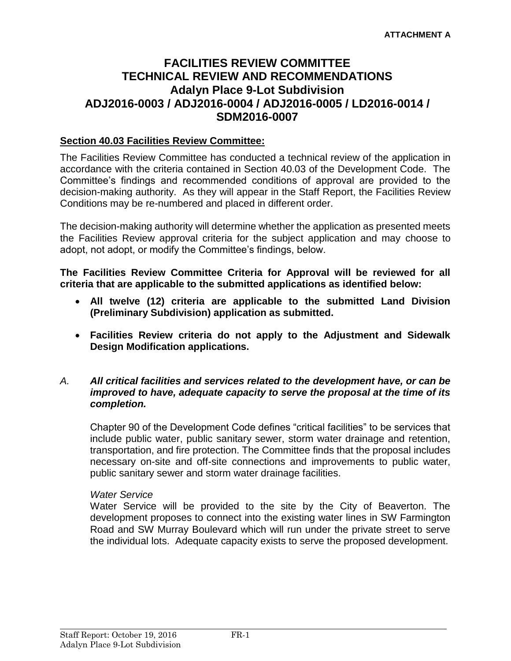# **FACILITIES REVIEW COMMITTEE TECHNICAL REVIEW AND RECOMMENDATIONS Adalyn Place 9-Lot Subdivision ADJ2016-0003 / ADJ2016-0004 / ADJ2016-0005 / LD2016-0014 / SDM2016-0007**

#### **Section 40.03 Facilities Review Committee:**

The Facilities Review Committee has conducted a technical review of the application in accordance with the criteria contained in Section 40.03 of the Development Code. The Committee's findings and recommended conditions of approval are provided to the decision-making authority. As they will appear in the Staff Report, the Facilities Review Conditions may be re-numbered and placed in different order.

The decision-making authority will determine whether the application as presented meets the Facilities Review approval criteria for the subject application and may choose to adopt, not adopt, or modify the Committee's findings, below.

**The Facilities Review Committee Criteria for Approval will be reviewed for all criteria that are applicable to the submitted applications as identified below:**

- **All twelve (12) criteria are applicable to the submitted Land Division (Preliminary Subdivision) application as submitted.**
- **Facilities Review criteria do not apply to the Adjustment and Sidewalk Design Modification applications.**

#### *A. All critical facilities and services related to the development have, or can be improved to have, adequate capacity to serve the proposal at the time of its completion.*

Chapter 90 of the Development Code defines "critical facilities" to be services that include public water, public sanitary sewer, storm water drainage and retention, transportation, and fire protection. The Committee finds that the proposal includes necessary on-site and off-site connections and improvements to public water, public sanitary sewer and storm water drainage facilities.

#### *Water Service*

Water Service will be provided to the site by the City of Beaverton. The development proposes to connect into the existing water lines in SW Farmington Road and SW Murray Boulevard which will run under the private street to serve the individual lots. Adequate capacity exists to serve the proposed development.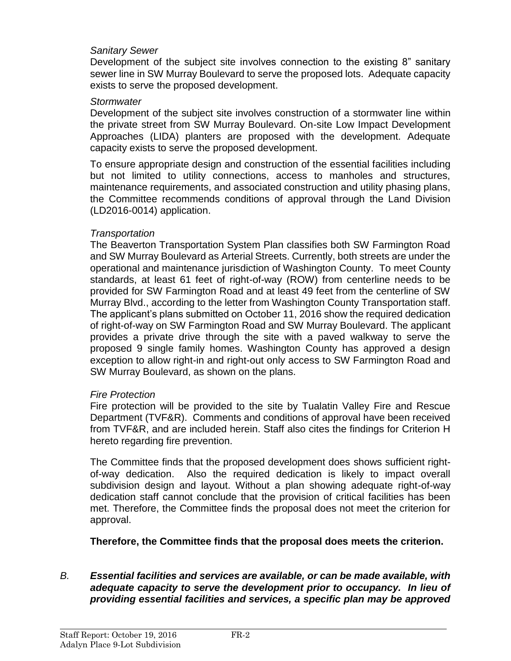#### *Sanitary Sewer*

Development of the subject site involves connection to the existing 8" sanitary sewer line in SW Murray Boulevard to serve the proposed lots. Adequate capacity exists to serve the proposed development.

#### *Stormwater*

Development of the subject site involves construction of a stormwater line within the private street from SW Murray Boulevard. On-site Low Impact Development Approaches (LIDA) planters are proposed with the development. Adequate capacity exists to serve the proposed development.

To ensure appropriate design and construction of the essential facilities including but not limited to utility connections, access to manholes and structures, maintenance requirements, and associated construction and utility phasing plans, the Committee recommends conditions of approval through the Land Division (LD2016-0014) application.

#### *Transportation*

The Beaverton Transportation System Plan classifies both SW Farmington Road and SW Murray Boulevard as Arterial Streets. Currently, both streets are under the operational and maintenance jurisdiction of Washington County. To meet County standards, at least 61 feet of right-of-way (ROW) from centerline needs to be provided for SW Farmington Road and at least 49 feet from the centerline of SW Murray Blvd., according to the letter from Washington County Transportation staff. The applicant's plans submitted on October 11, 2016 show the required dedication of right-of-way on SW Farmington Road and SW Murray Boulevard. The applicant provides a private drive through the site with a paved walkway to serve the proposed 9 single family homes. Washington County has approved a design exception to allow right-in and right-out only access to SW Farmington Road and SW Murray Boulevard, as shown on the plans.

#### *Fire Protection*

Fire protection will be provided to the site by Tualatin Valley Fire and Rescue Department (TVF&R). Comments and conditions of approval have been received from TVF&R, and are included herein. Staff also cites the findings for Criterion H hereto regarding fire prevention.

The Committee finds that the proposed development does shows sufficient rightof-way dedication. Also the required dedication is likely to impact overall subdivision design and layout. Without a plan showing adequate right-of-way dedication staff cannot conclude that the provision of critical facilities has been met. Therefore, the Committee finds the proposal does not meet the criterion for approval.

**Therefore, the Committee finds that the proposal does meets the criterion.** 

## *B. Essential facilities and services are available, or can be made available, with adequate capacity to serve the development prior to occupancy. In lieu of providing essential facilities and services, a specific plan may be approved*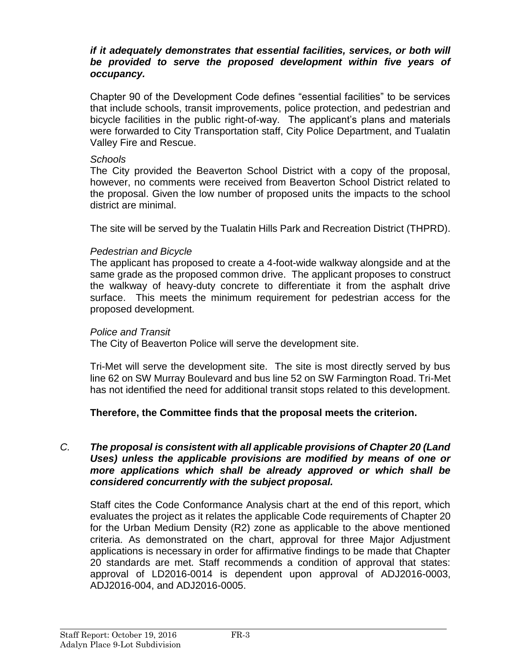#### *if it adequately demonstrates that essential facilities, services, or both will be provided to serve the proposed development within five years of occupancy.*

Chapter 90 of the Development Code defines "essential facilities" to be services that include schools, transit improvements, police protection, and pedestrian and bicycle facilities in the public right-of-way. The applicant's plans and materials were forwarded to City Transportation staff, City Police Department, and Tualatin Valley Fire and Rescue.

#### *Schools*

The City provided the Beaverton School District with a copy of the proposal, however, no comments were received from Beaverton School District related to the proposal. Given the low number of proposed units the impacts to the school district are minimal.

The site will be served by the Tualatin Hills Park and Recreation District (THPRD).

## *Pedestrian and Bicycle*

The applicant has proposed to create a 4-foot-wide walkway alongside and at the same grade as the proposed common drive. The applicant proposes to construct the walkway of heavy-duty concrete to differentiate it from the asphalt drive surface. This meets the minimum requirement for pedestrian access for the proposed development.

#### *Police and Transit*

The City of Beaverton Police will serve the development site.

Tri-Met will serve the development site. The site is most directly served by bus line 62 on SW Murray Boulevard and bus line 52 on SW Farmington Road. Tri-Met has not identified the need for additional transit stops related to this development.

# **Therefore, the Committee finds that the proposal meets the criterion.**

#### *C. The proposal is consistent with all applicable provisions of Chapter 20 (Land Uses) unless the applicable provisions are modified by means of one or more applications which shall be already approved or which shall be considered concurrently with the subject proposal.*

Staff cites the Code Conformance Analysis chart at the end of this report, which evaluates the project as it relates the applicable Code requirements of Chapter 20 for the Urban Medium Density (R2) zone as applicable to the above mentioned criteria. As demonstrated on the chart, approval for three Major Adjustment applications is necessary in order for affirmative findings to be made that Chapter 20 standards are met. Staff recommends a condition of approval that states: approval of LD2016-0014 is dependent upon approval of ADJ2016-0003, ADJ2016-004, and ADJ2016-0005.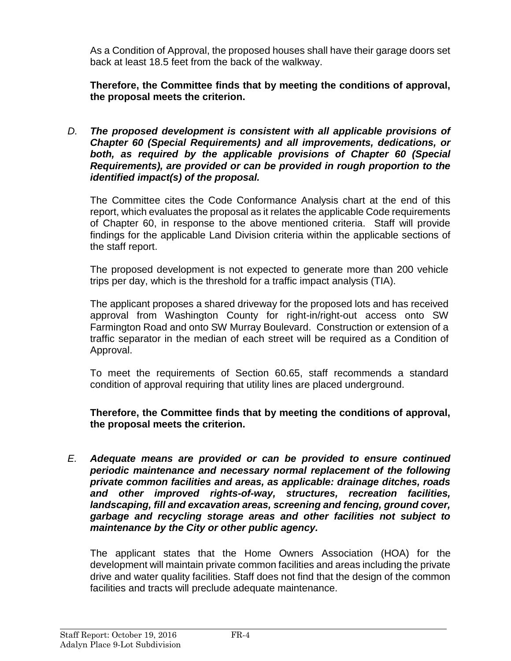As a Condition of Approval, the proposed houses shall have their garage doors set back at least 18.5 feet from the back of the walkway.

**Therefore, the Committee finds that by meeting the conditions of approval, the proposal meets the criterion.** 

*D. The proposed development is consistent with all applicable provisions of Chapter 60 (Special Requirements) and all improvements, dedications, or both, as required by the applicable provisions of Chapter 60 (Special Requirements), are provided or can be provided in rough proportion to the identified impact(s) of the proposal.*

The Committee cites the Code Conformance Analysis chart at the end of this report, which evaluates the proposal as it relates the applicable Code requirements of Chapter 60, in response to the above mentioned criteria. Staff will provide findings for the applicable Land Division criteria within the applicable sections of the staff report.

The proposed development is not expected to generate more than 200 vehicle trips per day, which is the threshold for a traffic impact analysis (TIA).

The applicant proposes a shared driveway for the proposed lots and has received approval from Washington County for right-in/right-out access onto SW Farmington Road and onto SW Murray Boulevard. Construction or extension of a traffic separator in the median of each street will be required as a Condition of Approval.

To meet the requirements of Section 60.65, staff recommends a standard condition of approval requiring that utility lines are placed underground.

**Therefore, the Committee finds that by meeting the conditions of approval, the proposal meets the criterion.** 

*E. Adequate means are provided or can be provided to ensure continued periodic maintenance and necessary normal replacement of the following private common facilities and areas, as applicable: drainage ditches, roads and other improved rights-of-way, structures, recreation facilities, landscaping, fill and excavation areas, screening and fencing, ground cover, garbage and recycling storage areas and other facilities not subject to maintenance by the City or other public agency.*

The applicant states that the Home Owners Association (HOA) for the development will maintain private common facilities and areas including the private drive and water quality facilities. Staff does not find that the design of the common facilities and tracts will preclude adequate maintenance.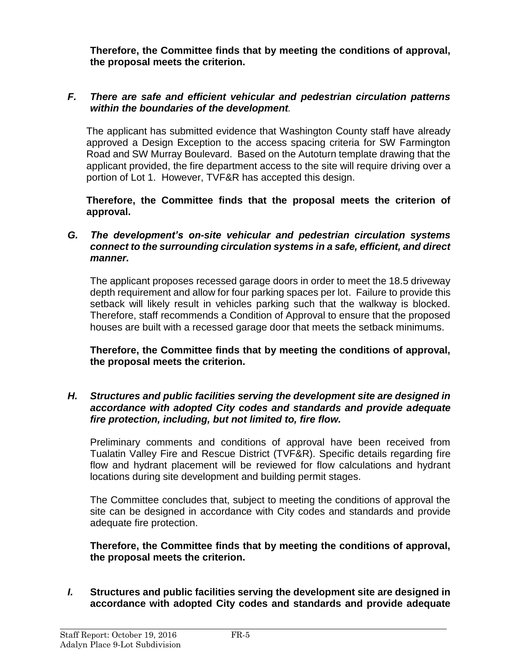**Therefore, the Committee finds that by meeting the conditions of approval, the proposal meets the criterion.** 

#### *F. There are safe and efficient vehicular and pedestrian circulation patterns within the boundaries of the development.*

The applicant has submitted evidence that Washington County staff have already approved a Design Exception to the access spacing criteria for SW Farmington Road and SW Murray Boulevard. Based on the Autoturn template drawing that the applicant provided, the fire department access to the site will require driving over a portion of Lot 1. However, TVF&R has accepted this design.

**Therefore, the Committee finds that the proposal meets the criterion of approval.**

#### *G. The development's on-site vehicular and pedestrian circulation systems connect to the surrounding circulation systems in a safe, efficient, and direct manner.*

The applicant proposes recessed garage doors in order to meet the 18.5 driveway depth requirement and allow for four parking spaces per lot. Failure to provide this setback will likely result in vehicles parking such that the walkway is blocked. Therefore, staff recommends a Condition of Approval to ensure that the proposed houses are built with a recessed garage door that meets the setback minimums.

**Therefore, the Committee finds that by meeting the conditions of approval, the proposal meets the criterion.** 

#### *H. Structures and public facilities serving the development site are designed in accordance with adopted City codes and standards and provide adequate fire protection, including, but not limited to, fire flow.*

Preliminary comments and conditions of approval have been received from Tualatin Valley Fire and Rescue District (TVF&R). Specific details regarding fire flow and hydrant placement will be reviewed for flow calculations and hydrant locations during site development and building permit stages.

The Committee concludes that, subject to meeting the conditions of approval the site can be designed in accordance with City codes and standards and provide adequate fire protection.

#### **Therefore, the Committee finds that by meeting the conditions of approval, the proposal meets the criterion.**

*I.* **Structures and public facilities serving the development site are designed in accordance with adopted City codes and standards and provide adequate**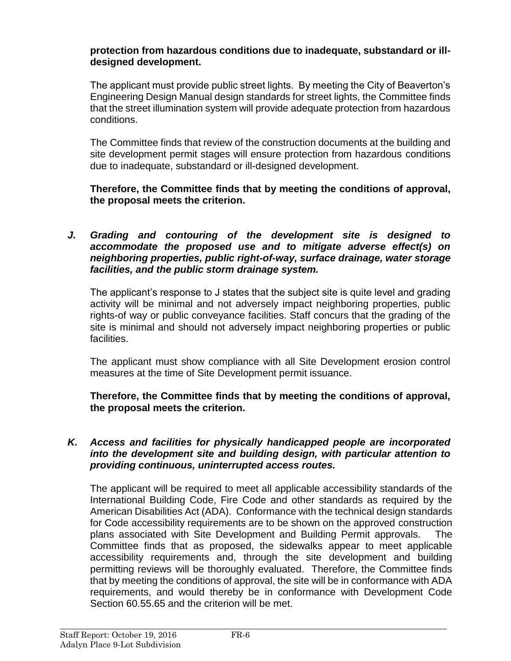#### **protection from hazardous conditions due to inadequate, substandard or illdesigned development.**

The applicant must provide public street lights. By meeting the City of Beaverton's Engineering Design Manual design standards for street lights, the Committee finds that the street illumination system will provide adequate protection from hazardous conditions.

The Committee finds that review of the construction documents at the building and site development permit stages will ensure protection from hazardous conditions due to inadequate, substandard or ill-designed development.

## **Therefore, the Committee finds that by meeting the conditions of approval, the proposal meets the criterion.**

*J. Grading and contouring of the development site is designed to accommodate the proposed use and to mitigate adverse effect(s) on neighboring properties, public right-of-way, surface drainage, water storage facilities, and the public storm drainage system.*

The applicant's response to J states that the subject site is quite level and grading activity will be minimal and not adversely impact neighboring properties, public rights-of way or public conveyance facilities. Staff concurs that the grading of the site is minimal and should not adversely impact neighboring properties or public facilities.

The applicant must show compliance with all Site Development erosion control measures at the time of Site Development permit issuance.

**Therefore, the Committee finds that by meeting the conditions of approval, the proposal meets the criterion.** 

#### *K. Access and facilities for physically handicapped people are incorporated into the development site and building design, with particular attention to providing continuous, uninterrupted access routes.*

The applicant will be required to meet all applicable accessibility standards of the International Building Code, Fire Code and other standards as required by the American Disabilities Act (ADA). Conformance with the technical design standards for Code accessibility requirements are to be shown on the approved construction plans associated with Site Development and Building Permit approvals. The Committee finds that as proposed, the sidewalks appear to meet applicable accessibility requirements and, through the site development and building permitting reviews will be thoroughly evaluated. Therefore, the Committee finds that by meeting the conditions of approval, the site will be in conformance with ADA requirements, and would thereby be in conformance with Development Code Section 60.55.65 and the criterion will be met.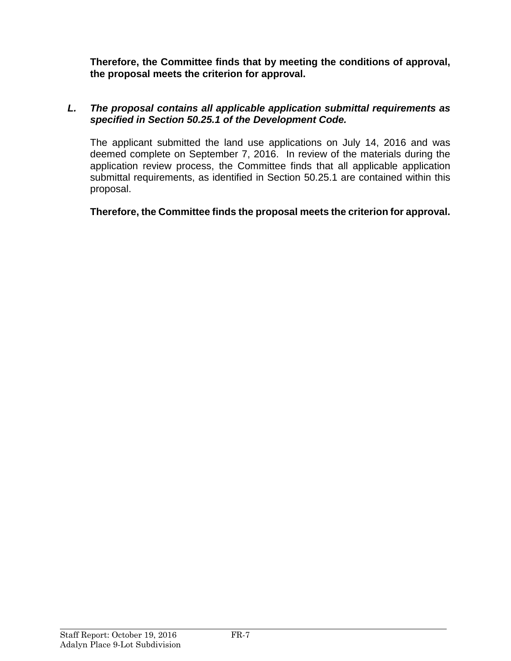**Therefore, the Committee finds that by meeting the conditions of approval, the proposal meets the criterion for approval.**

## *L. The proposal contains all applicable application submittal requirements as specified in Section 50.25.1 of the Development Code.*

The applicant submitted the land use applications on July 14, 2016 and was deemed complete on September 7, 2016. In review of the materials during the application review process, the Committee finds that all applicable application submittal requirements, as identified in Section 50.25.1 are contained within this proposal.

**Therefore, the Committee finds the proposal meets the criterion for approval.**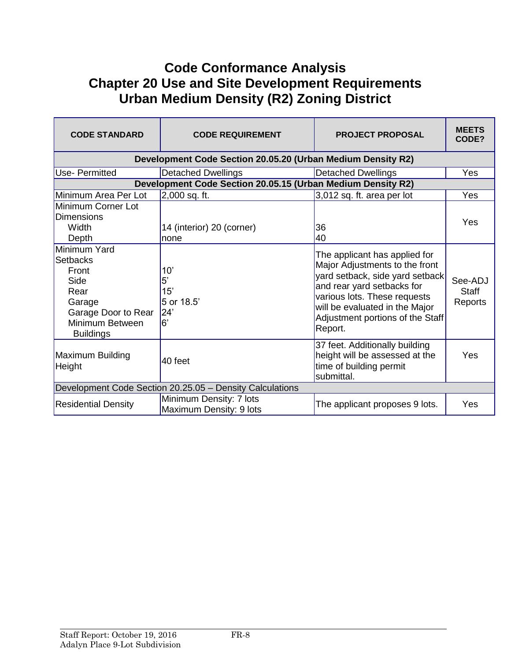# **Code Conformance Analysis Chapter 20 Use and Site Development Requirements Urban Medium Density (R2) Zoning District**

| <b>CODE STANDARD</b>                                                                                                             | <b>CODE REQUIREMENT</b>                                     | <b>PROJECT PROPOSAL</b>                                                                                                                                                                                                                           | <b>MEETS</b><br>CODE?              |  |
|----------------------------------------------------------------------------------------------------------------------------------|-------------------------------------------------------------|---------------------------------------------------------------------------------------------------------------------------------------------------------------------------------------------------------------------------------------------------|------------------------------------|--|
| Development Code Section 20.05.20 (Urban Medium Density R2)                                                                      |                                                             |                                                                                                                                                                                                                                                   |                                    |  |
| Use- Permitted                                                                                                                   | Detached Dwellings                                          | <b>Detached Dwellings</b>                                                                                                                                                                                                                         | <b>Yes</b>                         |  |
|                                                                                                                                  | Development Code Section 20.05.15 (Urban Medium Density R2) |                                                                                                                                                                                                                                                   |                                    |  |
| Minimum Area Per Lot                                                                                                             | $2,000$ sq. ft.                                             | 3,012 sq. ft. area per lot                                                                                                                                                                                                                        | Yes                                |  |
| Minimum Corner Lot<br><b>Dimensions</b><br>Width<br>Depth                                                                        | 14 (interior) 20 (corner)<br>none                           | 36<br>40                                                                                                                                                                                                                                          | Yes                                |  |
| Minimum Yard<br><b>Setbacks</b><br>Front<br>Side<br>Rear<br>Garage<br>Garage Door to Rear<br>Minimum Between<br><b>Buildings</b> | 10'<br>5'<br>15'<br>5 or 18.5'<br>24'<br>l6'                | The applicant has applied for<br>Major Adjustments to the front<br>yard setback, side yard setback<br>and rear yard setbacks for<br>various lots. These requests<br>will be evaluated in the Major<br>Adjustment portions of the Staff<br>Report. | See-ADJ<br><b>Staff</b><br>Reports |  |
| Maximum Building<br>Height                                                                                                       | 40 feet                                                     | 37 feet. Additionally building<br>height will be assessed at the<br>time of building permit<br>submittal.                                                                                                                                         | Yes                                |  |
| Development Code Section 20.25.05 - Density Calculations                                                                         |                                                             |                                                                                                                                                                                                                                                   |                                    |  |
| <b>Residential Density</b>                                                                                                       | Minimum Density: 7 lots<br>Maximum Density: 9 lots          | The applicant proposes 9 lots.                                                                                                                                                                                                                    | Yes                                |  |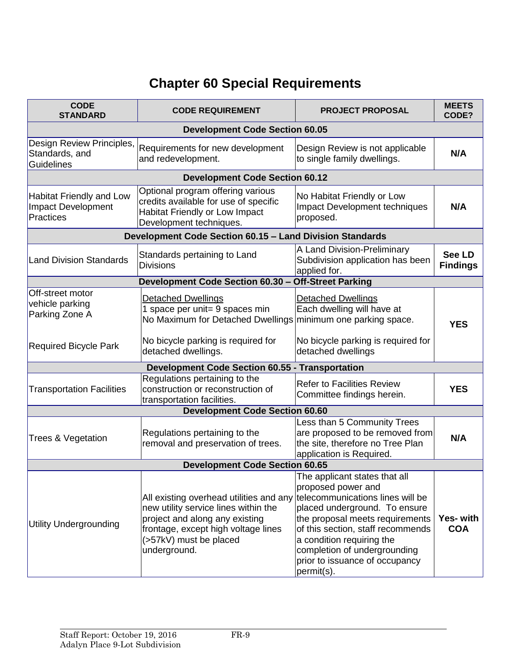# **Chapter 60 Special Requirements**

| <b>CODE</b><br><b>STANDARD</b>                                     | <b>CODE REQUIREMENT</b>                                                                                                                                                                            | <b>PROJECT PROPOSAL</b>                                                                                                                                                                                                                                                                                       |                               |
|--------------------------------------------------------------------|----------------------------------------------------------------------------------------------------------------------------------------------------------------------------------------------------|---------------------------------------------------------------------------------------------------------------------------------------------------------------------------------------------------------------------------------------------------------------------------------------------------------------|-------------------------------|
| <b>Development Code Section 60.05</b>                              |                                                                                                                                                                                                    |                                                                                                                                                                                                                                                                                                               |                               |
| Design Review Principles,<br>Standards, and<br>Guidelines          | Requirements for new development<br>and redevelopment.                                                                                                                                             | Design Review is not applicable<br>to single family dwellings.                                                                                                                                                                                                                                                | N/A                           |
|                                                                    | <b>Development Code Section 60.12</b>                                                                                                                                                              |                                                                                                                                                                                                                                                                                                               |                               |
| Habitat Friendly and Low<br><b>Impact Development</b><br>Practices | Optional program offering various<br>credits available for use of specific<br>Habitat Friendly or Low Impact<br>Development techniques.                                                            | No Habitat Friendly or Low<br>Impact Development techniques<br>proposed.                                                                                                                                                                                                                                      | N/A                           |
|                                                                    | Development Code Section 60.15 - Land Division Standards                                                                                                                                           |                                                                                                                                                                                                                                                                                                               |                               |
| <b>Land Division Standards</b>                                     | Standards pertaining to Land<br><b>Divisions</b>                                                                                                                                                   | A Land Division-Preliminary<br>Subdivision application has been<br>applied for.                                                                                                                                                                                                                               | See LD<br><b>Findings</b>     |
|                                                                    | Development Code Section 60.30 - Off-Street Parking                                                                                                                                                |                                                                                                                                                                                                                                                                                                               |                               |
| Off-street motor<br>vehicle parking<br>Parking Zone A              | <b>Detached Dwellings</b><br>1 space per unit= 9 spaces min<br>No Maximum for Detached Dwellings<br>No bicycle parking is required for                                                             | <b>Detached Dwellings</b><br>Each dwelling will have at<br>minimum one parking space.<br>No bicycle parking is required for                                                                                                                                                                                   | <b>YES</b>                    |
| <b>Required Bicycle Park</b>                                       | detached dwellings.                                                                                                                                                                                | detached dwellings                                                                                                                                                                                                                                                                                            |                               |
| <b>Development Code Section 60.55 - Transportation</b>             |                                                                                                                                                                                                    |                                                                                                                                                                                                                                                                                                               |                               |
| <b>Transportation Facilities</b>                                   | Regulations pertaining to the<br>construction or reconstruction of<br>transportation facilities.                                                                                                   | <b>Refer to Facilities Review</b><br>Committee findings herein.                                                                                                                                                                                                                                               | <b>YES</b>                    |
|                                                                    | <b>Development Code Section 60.60</b>                                                                                                                                                              |                                                                                                                                                                                                                                                                                                               |                               |
| Trees & Vegetation                                                 | Regulations pertaining to the<br>removal and preservation of trees.                                                                                                                                | Less than 5 Community Trees<br>are proposed to be removed from<br>the site, therefore no Tree Plan<br>application is Required.                                                                                                                                                                                | N/A                           |
| <b>Development Code Section 60.65</b>                              |                                                                                                                                                                                                    |                                                                                                                                                                                                                                                                                                               |                               |
| <b>Utility Undergrounding</b>                                      | All existing overhead utilities and any<br>new utility service lines within the<br>project and along any existing<br>frontage, except high voltage lines<br>(>57kV) must be placed<br>underground. | The applicant states that all<br>proposed power and<br>telecommunications lines will be<br>placed underground. To ensure<br>the proposal meets requirements<br>of this section, staff recommends<br>a condition requiring the<br>completion of undergrounding<br>prior to issuance of occupancy<br>permit(s). | <b>Yes-with</b><br><b>COA</b> |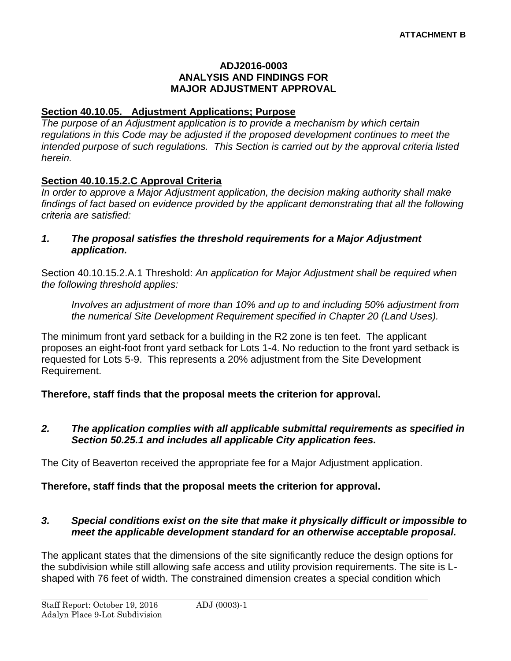#### **ADJ2016-0003 ANALYSIS AND FINDINGS FOR MAJOR ADJUSTMENT APPROVAL**

## **Section 40.10.05. Adjustment Applications; Purpose**

*The purpose of an Adjustment application is to provide a mechanism by which certain regulations in this Code may be adjusted if the proposed development continues to meet the intended purpose of such regulations. This Section is carried out by the approval criteria listed herein.*

# **Section 40.10.15.2.C Approval Criteria**

*In order to approve a Major Adjustment application, the decision making authority shall make findings of fact based on evidence provided by the applicant demonstrating that all the following criteria are satisfied:*

*1. The proposal satisfies the threshold requirements for a Major Adjustment application.*

Section 40.10.15.2.A.1 Threshold: *An application for Major Adjustment shall be required when the following threshold applies:*

*Involves an adjustment of more than 10% and up to and including 50% adjustment from the numerical Site Development Requirement specified in Chapter 20 (Land Uses).*

The minimum front yard setback for a building in the R2 zone is ten feet. The applicant proposes an eight-foot front yard setback for Lots 1-4. No reduction to the front yard setback is requested for Lots 5-9. This represents a 20% adjustment from the Site Development Requirement.

**Therefore, staff finds that the proposal meets the criterion for approval.**

*2. The application complies with all applicable submittal requirements as specified in Section 50.25.1 and includes all applicable City application fees.*

The City of Beaverton received the appropriate fee for a Major Adjustment application.

## **Therefore, staff finds that the proposal meets the criterion for approval.**

#### *3. Special conditions exist on the site that make it physically difficult or impossible to meet the applicable development standard for an otherwise acceptable proposal.*

The applicant states that the dimensions of the site significantly reduce the design options for the subdivision while still allowing safe access and utility provision requirements. The site is Lshaped with 76 feet of width. The constrained dimension creates a special condition which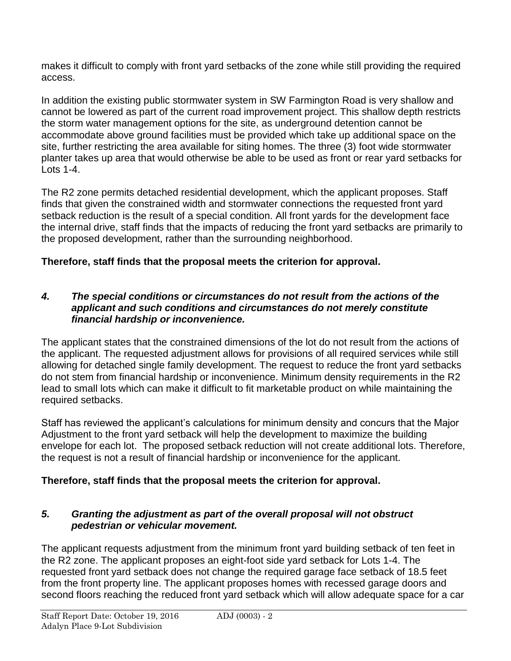makes it difficult to comply with front yard setbacks of the zone while still providing the required access.

In addition the existing public stormwater system in SW Farmington Road is very shallow and cannot be lowered as part of the current road improvement project. This shallow depth restricts the storm water management options for the site, as underground detention cannot be accommodate above ground facilities must be provided which take up additional space on the site, further restricting the area available for siting homes. The three (3) foot wide stormwater planter takes up area that would otherwise be able to be used as front or rear yard setbacks for Lots 1-4.

The R2 zone permits detached residential development, which the applicant proposes. Staff finds that given the constrained width and stormwater connections the requested front yard setback reduction is the result of a special condition. All front yards for the development face the internal drive, staff finds that the impacts of reducing the front yard setbacks are primarily to the proposed development, rather than the surrounding neighborhood.

# **Therefore, staff finds that the proposal meets the criterion for approval.**

## *4. The special conditions or circumstances do not result from the actions of the applicant and such conditions and circumstances do not merely constitute financial hardship or inconvenience.*

The applicant states that the constrained dimensions of the lot do not result from the actions of the applicant. The requested adjustment allows for provisions of all required services while still allowing for detached single family development. The request to reduce the front yard setbacks do not stem from financial hardship or inconvenience. Minimum density requirements in the R2 lead to small lots which can make it difficult to fit marketable product on while maintaining the required setbacks.

Staff has reviewed the applicant's calculations for minimum density and concurs that the Major Adjustment to the front yard setback will help the development to maximize the building envelope for each lot. The proposed setback reduction will not create additional lots. Therefore, the request is not a result of financial hardship or inconvenience for the applicant.

# **Therefore, staff finds that the proposal meets the criterion for approval.**

# *5. Granting the adjustment as part of the overall proposal will not obstruct pedestrian or vehicular movement.*

The applicant requests adjustment from the minimum front yard building setback of ten feet in the R2 zone. The applicant proposes an eight-foot side yard setback for Lots 1-4. The requested front yard setback does not change the required garage face setback of 18.5 feet from the front property line. The applicant proposes homes with recessed garage doors and second floors reaching the reduced front yard setback which will allow adequate space for a car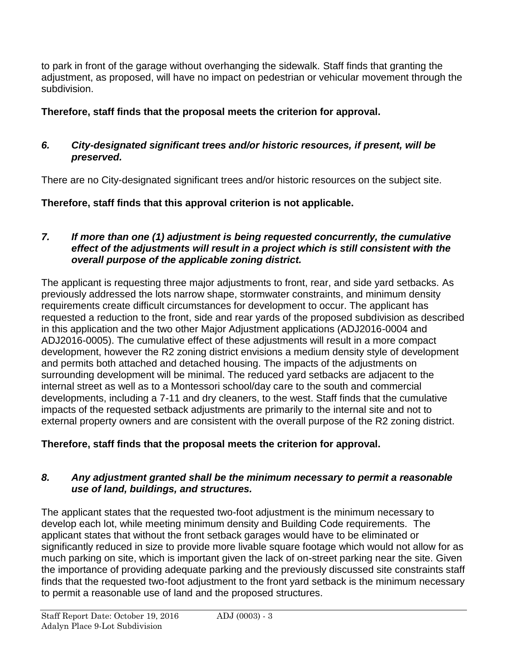to park in front of the garage without overhanging the sidewalk. Staff finds that granting the adjustment, as proposed, will have no impact on pedestrian or vehicular movement through the subdivision.

# **Therefore, staff finds that the proposal meets the criterion for approval.**

# *6. City-designated significant trees and/or historic resources, if present, will be preserved.*

There are no City-designated significant trees and/or historic resources on the subject site.

# **Therefore, staff finds that this approval criterion is not applicable.**

## *7. If more than one (1) adjustment is being requested concurrently, the cumulative effect of the adjustments will result in a project which is still consistent with the overall purpose of the applicable zoning district.*

The applicant is requesting three major adjustments to front, rear, and side yard setbacks. As previously addressed the lots narrow shape, stormwater constraints, and minimum density requirements create difficult circumstances for development to occur. The applicant has requested a reduction to the front, side and rear yards of the proposed subdivision as described in this application and the two other Major Adjustment applications (ADJ2016-0004 and ADJ2016-0005). The cumulative effect of these adjustments will result in a more compact development, however the R2 zoning district envisions a medium density style of development and permits both attached and detached housing. The impacts of the adjustments on surrounding development will be minimal. The reduced yard setbacks are adjacent to the internal street as well as to a Montessori school/day care to the south and commercial developments, including a 7-11 and dry cleaners, to the west. Staff finds that the cumulative impacts of the requested setback adjustments are primarily to the internal site and not to external property owners and are consistent with the overall purpose of the R2 zoning district.

# **Therefore, staff finds that the proposal meets the criterion for approval.**

# *8. Any adjustment granted shall be the minimum necessary to permit a reasonable use of land, buildings, and structures.*

The applicant states that the requested two-foot adjustment is the minimum necessary to develop each lot, while meeting minimum density and Building Code requirements. The applicant states that without the front setback garages would have to be eliminated or significantly reduced in size to provide more livable square footage which would not allow for as much parking on site, which is important given the lack of on-street parking near the site. Given the importance of providing adequate parking and the previously discussed site constraints staff finds that the requested two-foot adjustment to the front yard setback is the minimum necessary to permit a reasonable use of land and the proposed structures.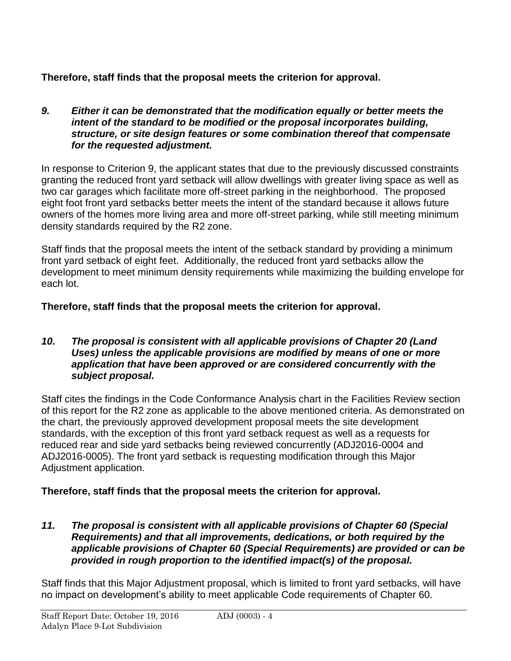**Therefore, staff finds that the proposal meets the criterion for approval.**

*9. Either it can be demonstrated that the modification equally or better meets the intent of the standard to be modified or the proposal incorporates building, structure, or site design features or some combination thereof that compensate for the requested adjustment.* 

In response to Criterion 9, the applicant states that due to the previously discussed constraints granting the reduced front yard setback will allow dwellings with greater living space as well as two car garages which facilitate more off-street parking in the neighborhood. The proposed eight foot front yard setbacks better meets the intent of the standard because it allows future owners of the homes more living area and more off-street parking, while still meeting minimum density standards required by the R2 zone.

Staff finds that the proposal meets the intent of the setback standard by providing a minimum front yard setback of eight feet. Additionally, the reduced front yard setbacks allow the development to meet minimum density requirements while maximizing the building envelope for each lot.

**Therefore, staff finds that the proposal meets the criterion for approval.**

#### *10. The proposal is consistent with all applicable provisions of Chapter 20 (Land Uses) unless the applicable provisions are modified by means of one or more application that have been approved or are considered concurrently with the subject proposal.*

Staff cites the findings in the Code Conformance Analysis chart in the Facilities Review section of this report for the R2 zone as applicable to the above mentioned criteria. As demonstrated on the chart, the previously approved development proposal meets the site development standards, with the exception of this front yard setback request as well as a requests for reduced rear and side yard setbacks being reviewed concurrently (ADJ2016-0004 and ADJ2016-0005). The front yard setback is requesting modification through this Major Adjustment application.

# **Therefore, staff finds that the proposal meets the criterion for approval.**

*11. The proposal is consistent with all applicable provisions of Chapter 60 (Special Requirements) and that all improvements, dedications, or both required by the applicable provisions of Chapter 60 (Special Requirements) are provided or can be provided in rough proportion to the identified impact(s) of the proposal.*

Staff finds that this Major Adjustment proposal, which is limited to front yard setbacks, will have no impact on development's ability to meet applicable Code requirements of Chapter 60.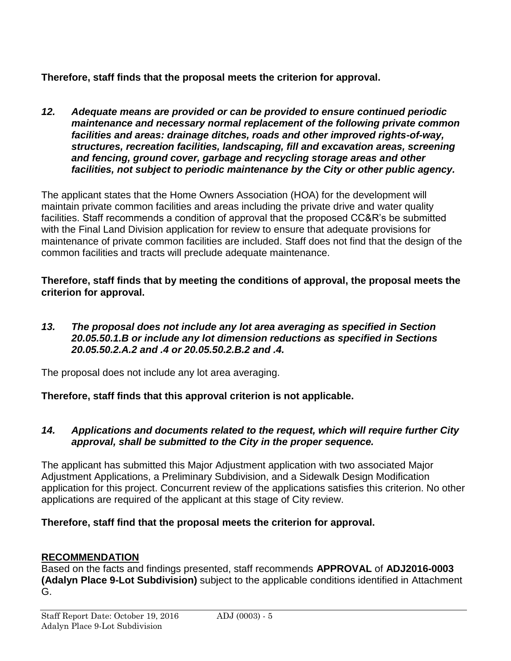**Therefore, staff finds that the proposal meets the criterion for approval.**

*12. Adequate means are provided or can be provided to ensure continued periodic maintenance and necessary normal replacement of the following private common facilities and areas: drainage ditches, roads and other improved rights-of-way, structures, recreation facilities, landscaping, fill and excavation areas, screening and fencing, ground cover, garbage and recycling storage areas and other facilities, not subject to periodic maintenance by the City or other public agency.*

The applicant states that the Home Owners Association (HOA) for the development will maintain private common facilities and areas including the private drive and water quality facilities. Staff recommends a condition of approval that the proposed CC&R's be submitted with the Final Land Division application for review to ensure that adequate provisions for maintenance of private common facilities are included. Staff does not find that the design of the common facilities and tracts will preclude adequate maintenance.

**Therefore, staff finds that by meeting the conditions of approval, the proposal meets the criterion for approval.**

*13. The proposal does not include any lot area averaging as specified in Section 20.05.50.1.B or include any lot dimension reductions as specified in Sections 20.05.50.2.A.2 and .4 or 20.05.50.2.B.2 and .4.*

The proposal does not include any lot area averaging.

**Therefore, staff finds that this approval criterion is not applicable.**

## *14. Applications and documents related to the request, which will require further City approval, shall be submitted to the City in the proper sequence.*

The applicant has submitted this Major Adjustment application with two associated Major Adjustment Applications, a Preliminary Subdivision, and a Sidewalk Design Modification application for this project. Concurrent review of the applications satisfies this criterion. No other applications are required of the applicant at this stage of City review.

# **Therefore, staff find that the proposal meets the criterion for approval.**

# **RECOMMENDATION**

Based on the facts and findings presented, staff recommends **APPROVAL** of **ADJ2016-0003 (Adalyn Place 9-Lot Subdivision)** subject to the applicable conditions identified in Attachment G.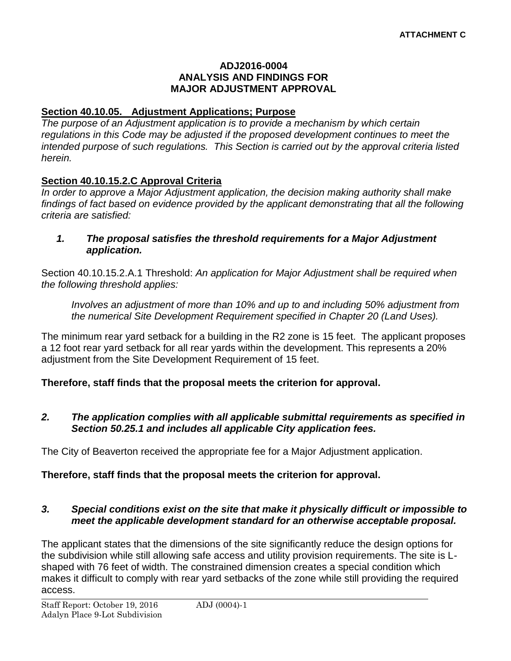#### **ADJ2016-0004 ANALYSIS AND FINDINGS FOR MAJOR ADJUSTMENT APPROVAL**

## **Section 40.10.05. Adjustment Applications; Purpose**

*The purpose of an Adjustment application is to provide a mechanism by which certain regulations in this Code may be adjusted if the proposed development continues to meet the intended purpose of such regulations. This Section is carried out by the approval criteria listed herein.*

# **Section 40.10.15.2.C Approval Criteria**

*In order to approve a Major Adjustment application, the decision making authority shall make findings of fact based on evidence provided by the applicant demonstrating that all the following criteria are satisfied:*

#### *1. The proposal satisfies the threshold requirements for a Major Adjustment application.*

Section 40.10.15.2.A.1 Threshold: *An application for Major Adjustment shall be required when the following threshold applies:*

*Involves an adjustment of more than 10% and up to and including 50% adjustment from the numerical Site Development Requirement specified in Chapter 20 (Land Uses).*

The minimum rear yard setback for a building in the R2 zone is 15 feet. The applicant proposes a 12 foot rear yard setback for all rear yards within the development. This represents a 20% adjustment from the Site Development Requirement of 15 feet.

# **Therefore, staff finds that the proposal meets the criterion for approval.**

## *2. The application complies with all applicable submittal requirements as specified in Section 50.25.1 and includes all applicable City application fees.*

The City of Beaverton received the appropriate fee for a Major Adjustment application.

# **Therefore, staff finds that the proposal meets the criterion for approval.**

## *3. Special conditions exist on the site that make it physically difficult or impossible to meet the applicable development standard for an otherwise acceptable proposal.*

The applicant states that the dimensions of the site significantly reduce the design options for the subdivision while still allowing safe access and utility provision requirements. The site is Lshaped with 76 feet of width. The constrained dimension creates a special condition which makes it difficult to comply with rear yard setbacks of the zone while still providing the required access.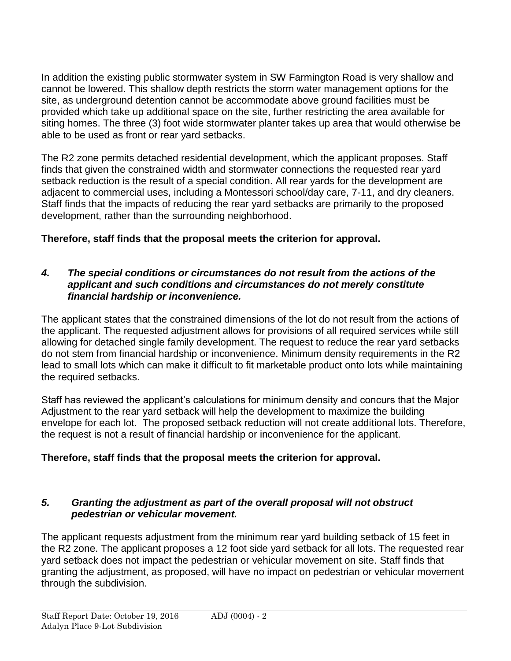In addition the existing public stormwater system in SW Farmington Road is very shallow and cannot be lowered. This shallow depth restricts the storm water management options for the site, as underground detention cannot be accommodate above ground facilities must be provided which take up additional space on the site, further restricting the area available for siting homes. The three (3) foot wide stormwater planter takes up area that would otherwise be able to be used as front or rear yard setbacks.

The R2 zone permits detached residential development, which the applicant proposes. Staff finds that given the constrained width and stormwater connections the requested rear yard setback reduction is the result of a special condition. All rear yards for the development are adjacent to commercial uses, including a Montessori school/day care, 7-11, and dry cleaners. Staff finds that the impacts of reducing the rear yard setbacks are primarily to the proposed development, rather than the surrounding neighborhood.

# **Therefore, staff finds that the proposal meets the criterion for approval.**

#### *4. The special conditions or circumstances do not result from the actions of the applicant and such conditions and circumstances do not merely constitute financial hardship or inconvenience.*

The applicant states that the constrained dimensions of the lot do not result from the actions of the applicant. The requested adjustment allows for provisions of all required services while still allowing for detached single family development. The request to reduce the rear yard setbacks do not stem from financial hardship or inconvenience. Minimum density requirements in the R2 lead to small lots which can make it difficult to fit marketable product onto lots while maintaining the required setbacks.

Staff has reviewed the applicant's calculations for minimum density and concurs that the Major Adjustment to the rear yard setback will help the development to maximize the building envelope for each lot. The proposed setback reduction will not create additional lots. Therefore, the request is not a result of financial hardship or inconvenience for the applicant.

# **Therefore, staff finds that the proposal meets the criterion for approval.**

## *5. Granting the adjustment as part of the overall proposal will not obstruct pedestrian or vehicular movement.*

The applicant requests adjustment from the minimum rear yard building setback of 15 feet in the R2 zone. The applicant proposes a 12 foot side yard setback for all lots. The requested rear yard setback does not impact the pedestrian or vehicular movement on site. Staff finds that granting the adjustment, as proposed, will have no impact on pedestrian or vehicular movement through the subdivision.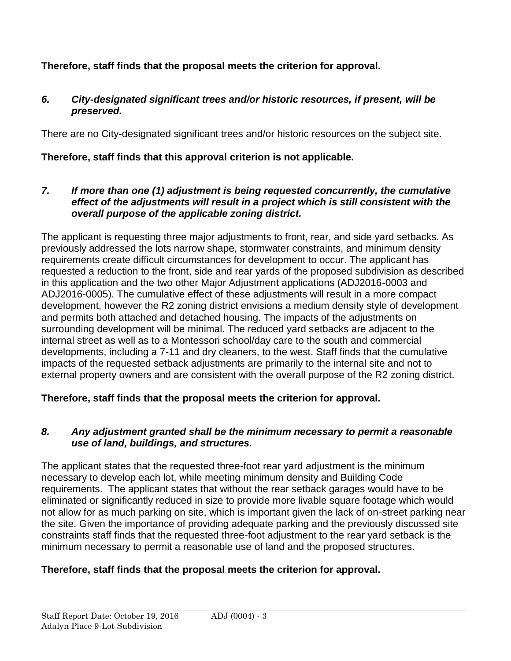# **Therefore, staff finds that the proposal meets the criterion for approval.**

# *6. City-designated significant trees and/or historic resources, if present, will be preserved.*

There are no City-designated significant trees and/or historic resources on the subject site.

# **Therefore, staff finds that this approval criterion is not applicable.**

*7. If more than one (1) adjustment is being requested concurrently, the cumulative effect of the adjustments will result in a project which is still consistent with the overall purpose of the applicable zoning district.*

The applicant is requesting three major adjustments to front, rear, and side yard setbacks. As previously addressed the lots narrow shape, stormwater constraints, and minimum density requirements create difficult circumstances for development to occur. The applicant has requested a reduction to the front, side and rear yards of the proposed subdivision as described in this application and the two other Major Adjustment applications (ADJ2016-0003 and ADJ2016-0005). The cumulative effect of these adjustments will result in a more compact development, however the R2 zoning district envisions a medium density style of development and permits both attached and detached housing. The impacts of the adjustments on surrounding development will be minimal. The reduced yard setbacks are adjacent to the internal street as well as to a Montessori school/day care to the south and commercial developments, including a 7-11 and dry cleaners, to the west. Staff finds that the cumulative impacts of the requested setback adjustments are primarily to the internal site and not to external property owners and are consistent with the overall purpose of the R2 zoning district.

**Therefore, staff finds that the proposal meets the criterion for approval.**

## *8. Any adjustment granted shall be the minimum necessary to permit a reasonable use of land, buildings, and structures.*

The applicant states that the requested three-foot rear yard adjustment is the minimum necessary to develop each lot, while meeting minimum density and Building Code requirements. The applicant states that without the rear setback garages would have to be eliminated or significantly reduced in size to provide more livable square footage which would not allow for as much parking on site, which is important given the lack of on-street parking near the site. Given the importance of providing adequate parking and the previously discussed site constraints staff finds that the requested three-foot adjustment to the rear yard setback is the minimum necessary to permit a reasonable use of land and the proposed structures.

# **Therefore, staff finds that the proposal meets the criterion for approval.**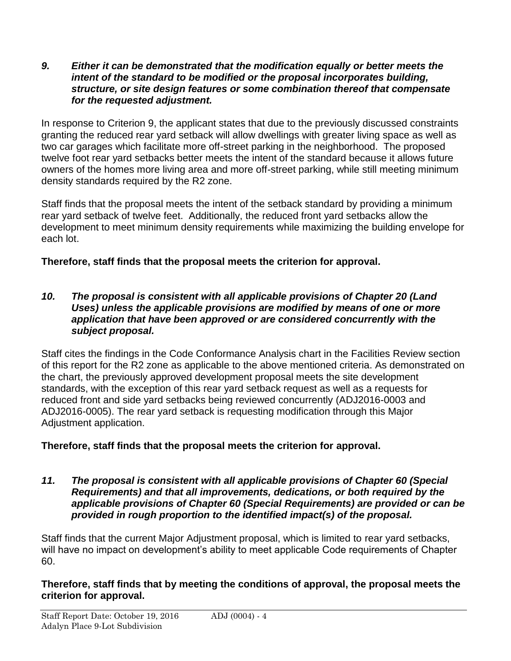#### *9. Either it can be demonstrated that the modification equally or better meets the intent of the standard to be modified or the proposal incorporates building, structure, or site design features or some combination thereof that compensate for the requested adjustment.*

In response to Criterion 9, the applicant states that due to the previously discussed constraints granting the reduced rear yard setback will allow dwellings with greater living space as well as two car garages which facilitate more off-street parking in the neighborhood. The proposed twelve foot rear yard setbacks better meets the intent of the standard because it allows future owners of the homes more living area and more off-street parking, while still meeting minimum density standards required by the R2 zone.

Staff finds that the proposal meets the intent of the setback standard by providing a minimum rear yard setback of twelve feet. Additionally, the reduced front yard setbacks allow the development to meet minimum density requirements while maximizing the building envelope for each lot.

# **Therefore, staff finds that the proposal meets the criterion for approval.**

#### *10. The proposal is consistent with all applicable provisions of Chapter 20 (Land Uses) unless the applicable provisions are modified by means of one or more application that have been approved or are considered concurrently with the subject proposal.*

Staff cites the findings in the Code Conformance Analysis chart in the Facilities Review section of this report for the R2 zone as applicable to the above mentioned criteria. As demonstrated on the chart, the previously approved development proposal meets the site development standards, with the exception of this rear yard setback request as well as a requests for reduced front and side yard setbacks being reviewed concurrently (ADJ2016-0003 and ADJ2016-0005). The rear yard setback is requesting modification through this Major Adjustment application.

# **Therefore, staff finds that the proposal meets the criterion for approval.**

*11. The proposal is consistent with all applicable provisions of Chapter 60 (Special Requirements) and that all improvements, dedications, or both required by the applicable provisions of Chapter 60 (Special Requirements) are provided or can be provided in rough proportion to the identified impact(s) of the proposal.*

Staff finds that the current Major Adjustment proposal, which is limited to rear yard setbacks, will have no impact on development's ability to meet applicable Code requirements of Chapter 60.

## **Therefore, staff finds that by meeting the conditions of approval, the proposal meets the criterion for approval.**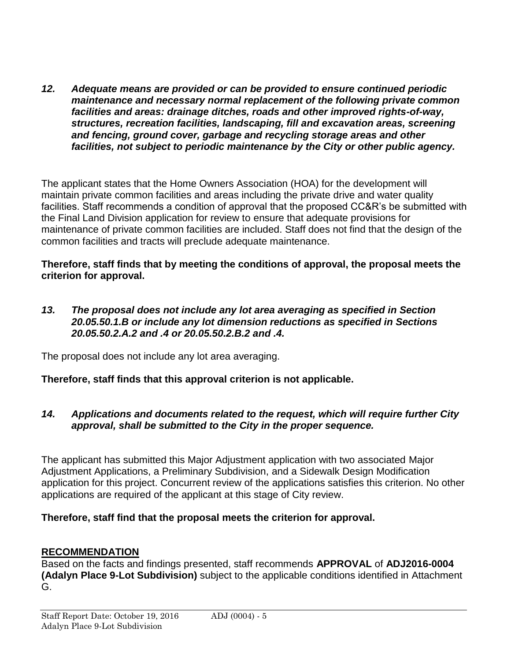*12. Adequate means are provided or can be provided to ensure continued periodic maintenance and necessary normal replacement of the following private common facilities and areas: drainage ditches, roads and other improved rights-of-way, structures, recreation facilities, landscaping, fill and excavation areas, screening and fencing, ground cover, garbage and recycling storage areas and other facilities, not subject to periodic maintenance by the City or other public agency.*

The applicant states that the Home Owners Association (HOA) for the development will maintain private common facilities and areas including the private drive and water quality facilities. Staff recommends a condition of approval that the proposed CC&R's be submitted with the Final Land Division application for review to ensure that adequate provisions for maintenance of private common facilities are included. Staff does not find that the design of the common facilities and tracts will preclude adequate maintenance.

## **Therefore, staff finds that by meeting the conditions of approval, the proposal meets the criterion for approval.**

*13. The proposal does not include any lot area averaging as specified in Section 20.05.50.1.B or include any lot dimension reductions as specified in Sections 20.05.50.2.A.2 and .4 or 20.05.50.2.B.2 and .4.*

The proposal does not include any lot area averaging.

# **Therefore, staff finds that this approval criterion is not applicable.**

## *14. Applications and documents related to the request, which will require further City approval, shall be submitted to the City in the proper sequence.*

The applicant has submitted this Major Adjustment application with two associated Major Adjustment Applications, a Preliminary Subdivision, and a Sidewalk Design Modification application for this project. Concurrent review of the applications satisfies this criterion. No other applications are required of the applicant at this stage of City review.

# **Therefore, staff find that the proposal meets the criterion for approval.**

# **RECOMMENDATION**

Based on the facts and findings presented, staff recommends **APPROVAL** of **ADJ2016-0004 (Adalyn Place 9-Lot Subdivision)** subject to the applicable conditions identified in Attachment G.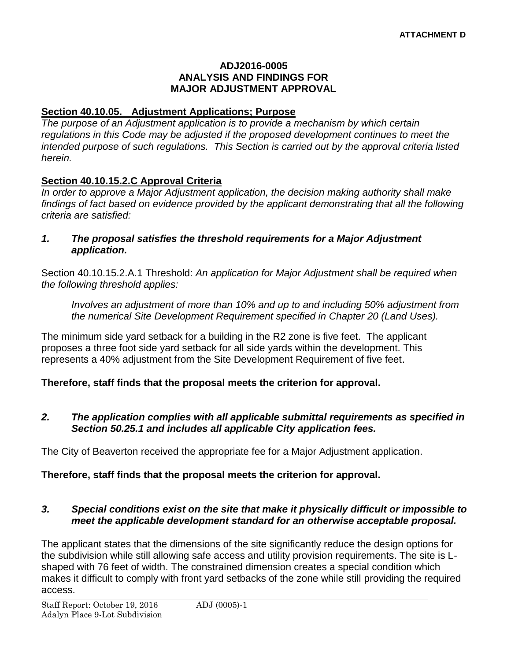#### **ADJ2016-0005 ANALYSIS AND FINDINGS FOR MAJOR ADJUSTMENT APPROVAL**

## **Section 40.10.05. Adjustment Applications; Purpose**

*The purpose of an Adjustment application is to provide a mechanism by which certain regulations in this Code may be adjusted if the proposed development continues to meet the intended purpose of such regulations. This Section is carried out by the approval criteria listed herein.*

# **Section 40.10.15.2.C Approval Criteria**

*In order to approve a Major Adjustment application, the decision making authority shall make findings of fact based on evidence provided by the applicant demonstrating that all the following criteria are satisfied:*

*1. The proposal satisfies the threshold requirements for a Major Adjustment application.*

Section 40.10.15.2.A.1 Threshold: *An application for Major Adjustment shall be required when the following threshold applies:*

*Involves an adjustment of more than 10% and up to and including 50% adjustment from the numerical Site Development Requirement specified in Chapter 20 (Land Uses).*

The minimum side yard setback for a building in the R2 zone is five feet. The applicant proposes a three foot side yard setback for all side yards within the development. This represents a 40% adjustment from the Site Development Requirement of five feet.

## **Therefore, staff finds that the proposal meets the criterion for approval.**

## *2. The application complies with all applicable submittal requirements as specified in Section 50.25.1 and includes all applicable City application fees.*

The City of Beaverton received the appropriate fee for a Major Adjustment application.

# **Therefore, staff finds that the proposal meets the criterion for approval.**

## *3. Special conditions exist on the site that make it physically difficult or impossible to meet the applicable development standard for an otherwise acceptable proposal.*

The applicant states that the dimensions of the site significantly reduce the design options for the subdivision while still allowing safe access and utility provision requirements. The site is Lshaped with 76 feet of width. The constrained dimension creates a special condition which makes it difficult to comply with front yard setbacks of the zone while still providing the required access.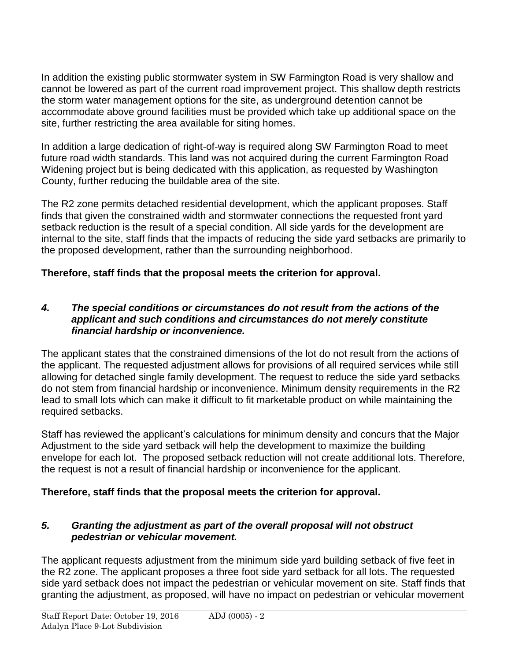In addition the existing public stormwater system in SW Farmington Road is very shallow and cannot be lowered as part of the current road improvement project. This shallow depth restricts the storm water management options for the site, as underground detention cannot be accommodate above ground facilities must be provided which take up additional space on the site, further restricting the area available for siting homes.

In addition a large dedication of right-of-way is required along SW Farmington Road to meet future road width standards. This land was not acquired during the current Farmington Road Widening project but is being dedicated with this application, as requested by Washington County, further reducing the buildable area of the site.

The R2 zone permits detached residential development, which the applicant proposes. Staff finds that given the constrained width and stormwater connections the requested front yard setback reduction is the result of a special condition. All side yards for the development are internal to the site, staff finds that the impacts of reducing the side yard setbacks are primarily to the proposed development, rather than the surrounding neighborhood.

# **Therefore, staff finds that the proposal meets the criterion for approval.**

## *4. The special conditions or circumstances do not result from the actions of the applicant and such conditions and circumstances do not merely constitute financial hardship or inconvenience.*

The applicant states that the constrained dimensions of the lot do not result from the actions of the applicant. The requested adjustment allows for provisions of all required services while still allowing for detached single family development. The request to reduce the side yard setbacks do not stem from financial hardship or inconvenience. Minimum density requirements in the R2 lead to small lots which can make it difficult to fit marketable product on while maintaining the required setbacks.

Staff has reviewed the applicant's calculations for minimum density and concurs that the Major Adjustment to the side yard setback will help the development to maximize the building envelope for each lot. The proposed setback reduction will not create additional lots. Therefore, the request is not a result of financial hardship or inconvenience for the applicant.

# **Therefore, staff finds that the proposal meets the criterion for approval.**

# *5. Granting the adjustment as part of the overall proposal will not obstruct pedestrian or vehicular movement.*

The applicant requests adjustment from the minimum side yard building setback of five feet in the R2 zone. The applicant proposes a three foot side yard setback for all lots. The requested side yard setback does not impact the pedestrian or vehicular movement on site. Staff finds that granting the adjustment, as proposed, will have no impact on pedestrian or vehicular movement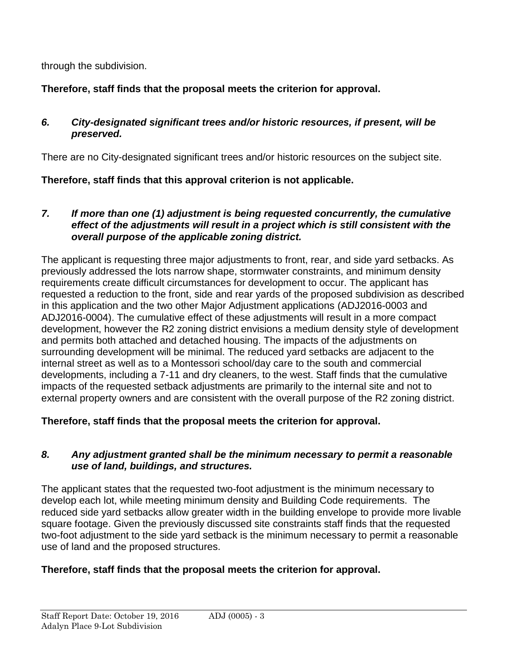through the subdivision.

# **Therefore, staff finds that the proposal meets the criterion for approval.**

# *6. City-designated significant trees and/or historic resources, if present, will be preserved.*

There are no City-designated significant trees and/or historic resources on the subject site.

# **Therefore, staff finds that this approval criterion is not applicable.**

## *7. If more than one (1) adjustment is being requested concurrently, the cumulative effect of the adjustments will result in a project which is still consistent with the overall purpose of the applicable zoning district.*

The applicant is requesting three major adjustments to front, rear, and side yard setbacks. As previously addressed the lots narrow shape, stormwater constraints, and minimum density requirements create difficult circumstances for development to occur. The applicant has requested a reduction to the front, side and rear yards of the proposed subdivision as described in this application and the two other Major Adjustment applications (ADJ2016-0003 and ADJ2016-0004). The cumulative effect of these adjustments will result in a more compact development, however the R2 zoning district envisions a medium density style of development and permits both attached and detached housing. The impacts of the adjustments on surrounding development will be minimal. The reduced yard setbacks are adjacent to the internal street as well as to a Montessori school/day care to the south and commercial developments, including a 7-11 and dry cleaners, to the west. Staff finds that the cumulative impacts of the requested setback adjustments are primarily to the internal site and not to external property owners and are consistent with the overall purpose of the R2 zoning district.

# **Therefore, staff finds that the proposal meets the criterion for approval.**

# *8. Any adjustment granted shall be the minimum necessary to permit a reasonable use of land, buildings, and structures.*

The applicant states that the requested two-foot adjustment is the minimum necessary to develop each lot, while meeting minimum density and Building Code requirements. The reduced side yard setbacks allow greater width in the building envelope to provide more livable square footage. Given the previously discussed site constraints staff finds that the requested two-foot adjustment to the side yard setback is the minimum necessary to permit a reasonable use of land and the proposed structures.

# **Therefore, staff finds that the proposal meets the criterion for approval.**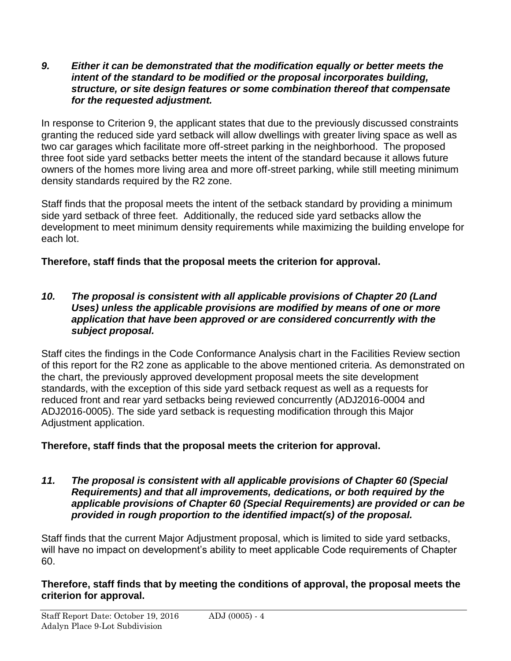#### *9. Either it can be demonstrated that the modification equally or better meets the intent of the standard to be modified or the proposal incorporates building, structure, or site design features or some combination thereof that compensate for the requested adjustment.*

In response to Criterion 9, the applicant states that due to the previously discussed constraints granting the reduced side yard setback will allow dwellings with greater living space as well as two car garages which facilitate more off-street parking in the neighborhood. The proposed three foot side yard setbacks better meets the intent of the standard because it allows future owners of the homes more living area and more off-street parking, while still meeting minimum density standards required by the R2 zone.

Staff finds that the proposal meets the intent of the setback standard by providing a minimum side yard setback of three feet. Additionally, the reduced side yard setbacks allow the development to meet minimum density requirements while maximizing the building envelope for each lot.

# **Therefore, staff finds that the proposal meets the criterion for approval.**

#### *10. The proposal is consistent with all applicable provisions of Chapter 20 (Land Uses) unless the applicable provisions are modified by means of one or more application that have been approved or are considered concurrently with the subject proposal.*

Staff cites the findings in the Code Conformance Analysis chart in the Facilities Review section of this report for the R2 zone as applicable to the above mentioned criteria. As demonstrated on the chart, the previously approved development proposal meets the site development standards, with the exception of this side yard setback request as well as a requests for reduced front and rear yard setbacks being reviewed concurrently (ADJ2016-0004 and ADJ2016-0005). The side yard setback is requesting modification through this Major Adjustment application.

# **Therefore, staff finds that the proposal meets the criterion for approval.**

*11. The proposal is consistent with all applicable provisions of Chapter 60 (Special Requirements) and that all improvements, dedications, or both required by the applicable provisions of Chapter 60 (Special Requirements) are provided or can be provided in rough proportion to the identified impact(s) of the proposal.*

Staff finds that the current Major Adjustment proposal, which is limited to side yard setbacks, will have no impact on development's ability to meet applicable Code requirements of Chapter 60.

## **Therefore, staff finds that by meeting the conditions of approval, the proposal meets the criterion for approval.**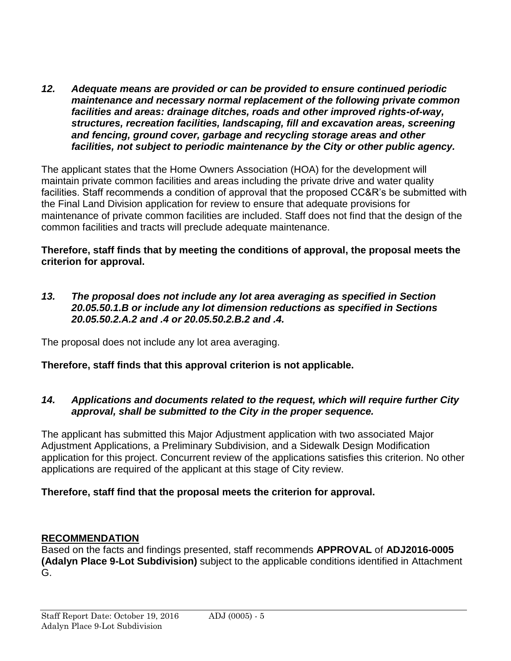*12. Adequate means are provided or can be provided to ensure continued periodic maintenance and necessary normal replacement of the following private common facilities and areas: drainage ditches, roads and other improved rights-of-way, structures, recreation facilities, landscaping, fill and excavation areas, screening and fencing, ground cover, garbage and recycling storage areas and other facilities, not subject to periodic maintenance by the City or other public agency.*

The applicant states that the Home Owners Association (HOA) for the development will maintain private common facilities and areas including the private drive and water quality facilities. Staff recommends a condition of approval that the proposed CC&R's be submitted with the Final Land Division application for review to ensure that adequate provisions for maintenance of private common facilities are included. Staff does not find that the design of the common facilities and tracts will preclude adequate maintenance.

**Therefore, staff finds that by meeting the conditions of approval, the proposal meets the criterion for approval.**

*13. The proposal does not include any lot area averaging as specified in Section 20.05.50.1.B or include any lot dimension reductions as specified in Sections 20.05.50.2.A.2 and .4 or 20.05.50.2.B.2 and .4.*

The proposal does not include any lot area averaging.

# **Therefore, staff finds that this approval criterion is not applicable.**

## *14. Applications and documents related to the request, which will require further City approval, shall be submitted to the City in the proper sequence.*

The applicant has submitted this Major Adjustment application with two associated Major Adjustment Applications, a Preliminary Subdivision, and a Sidewalk Design Modification application for this project. Concurrent review of the applications satisfies this criterion. No other applications are required of the applicant at this stage of City review.

# **Therefore, staff find that the proposal meets the criterion for approval.**

## **RECOMMENDATION**

Based on the facts and findings presented, staff recommends **APPROVAL** of **ADJ2016-0005 (Adalyn Place 9-Lot Subdivision)** subject to the applicable conditions identified in Attachment G.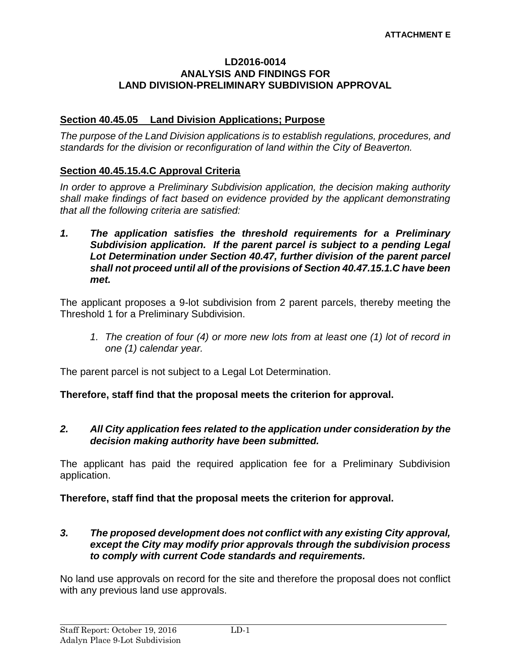#### **LD2016-0014 ANALYSIS AND FINDINGS FOR LAND DIVISION-PRELIMINARY SUBDIVISION APPROVAL**

#### **Section 40.45.05 Land Division Applications; Purpose**

*The purpose of the Land Division applications is to establish regulations, procedures, and standards for the division or reconfiguration of land within the City of Beaverton.* 

#### **Section 40.45.15.4.C Approval Criteria**

*In order to approve a Preliminary Subdivision application, the decision making authority shall make findings of fact based on evidence provided by the applicant demonstrating that all the following criteria are satisfied:*

*1. The application satisfies the threshold requirements for a Preliminary Subdivision application. If the parent parcel is subject to a pending Legal Lot Determination under Section 40.47, further division of the parent parcel shall not proceed until all of the provisions of Section 40.47.15.1.C have been met.*

The applicant proposes a 9-lot subdivision from 2 parent parcels, thereby meeting the Threshold 1 for a Preliminary Subdivision.

*1. The creation of four (4) or more new lots from at least one (1) lot of record in one (1) calendar year.*

The parent parcel is not subject to a Legal Lot Determination.

**Therefore, staff find that the proposal meets the criterion for approval.**

#### *2. All City application fees related to the application under consideration by the decision making authority have been submitted.*

The applicant has paid the required application fee for a Preliminary Subdivision application.

**Therefore, staff find that the proposal meets the criterion for approval.**

#### *3. The proposed development does not conflict with any existing City approval, except the City may modify prior approvals through the subdivision process to comply with current Code standards and requirements.*

No land use approvals on record for the site and therefore the proposal does not conflict with any previous land use approvals.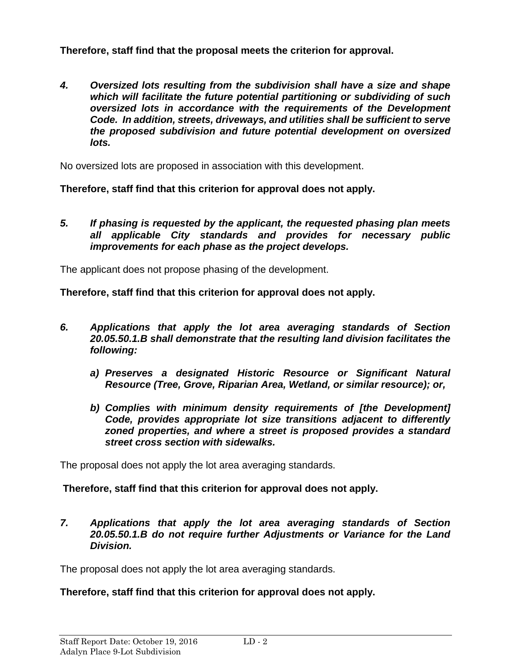**Therefore, staff find that the proposal meets the criterion for approval.**

*4. Oversized lots resulting from the subdivision shall have a size and shape which will facilitate the future potential partitioning or subdividing of such oversized lots in accordance with the requirements of the Development Code. In addition, streets, driveways, and utilities shall be sufficient to serve the proposed subdivision and future potential development on oversized lots.*

No oversized lots are proposed in association with this development.

**Therefore, staff find that this criterion for approval does not apply.**

*5. If phasing is requested by the applicant, the requested phasing plan meets all applicable City standards and provides for necessary public improvements for each phase as the project develops.*

The applicant does not propose phasing of the development.

**Therefore, staff find that this criterion for approval does not apply.**

- *6. Applications that apply the lot area averaging standards of Section 20.05.50.1.B shall demonstrate that the resulting land division facilitates the following:*
	- *a) Preserves a designated Historic Resource or Significant Natural Resource (Tree, Grove, Riparian Area, Wetland, or similar resource); or,*
	- *b) Complies with minimum density requirements of [the Development] Code, provides appropriate lot size transitions adjacent to differently zoned properties, and where a street is proposed provides a standard street cross section with sidewalks.*

The proposal does not apply the lot area averaging standards.

# **Therefore, staff find that this criterion for approval does not apply.**

*7. Applications that apply the lot area averaging standards of Section 20.05.50.1.B do not require further Adjustments or Variance for the Land Division.*

The proposal does not apply the lot area averaging standards.

# **Therefore, staff find that this criterion for approval does not apply.**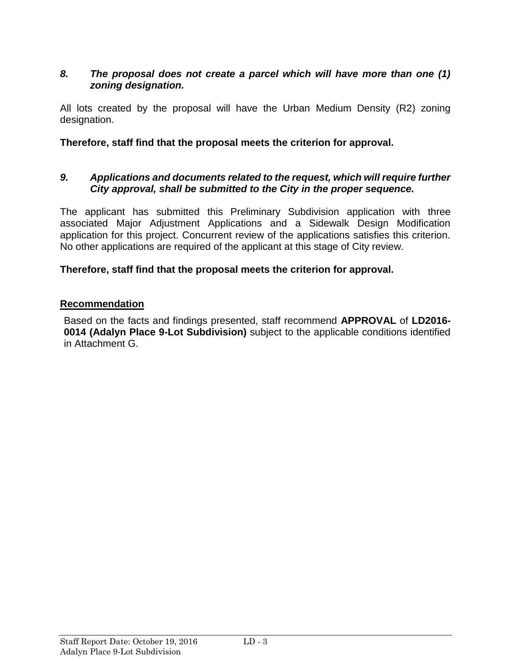## *8. The proposal does not create a parcel which will have more than one (1) zoning designation.*

All lots created by the proposal will have the Urban Medium Density (R2) zoning designation.

**Therefore, staff find that the proposal meets the criterion for approval.**

#### *9. Applications and documents related to the request, which will require further City approval, shall be submitted to the City in the proper sequence.*

The applicant has submitted this Preliminary Subdivision application with three associated Major Adjustment Applications and a Sidewalk Design Modification application for this project. Concurrent review of the applications satisfies this criterion. No other applications are required of the applicant at this stage of City review.

#### **Therefore, staff find that the proposal meets the criterion for approval.**

## **Recommendation**

Based on the facts and findings presented, staff recommend **APPROVAL** of **LD2016- 0014 (Adalyn Place 9-Lot Subdivision)** subject to the applicable conditions identified in Attachment G.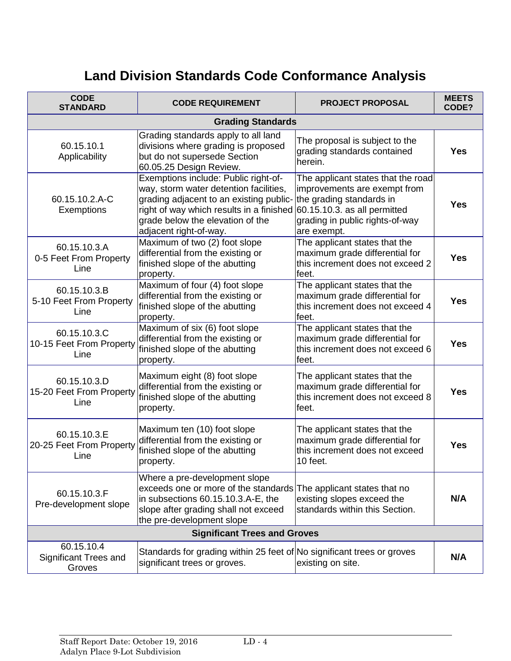# **Land Division Standards Code Conformance Analysis**

| <b>CODE</b><br><b>STANDARD</b>                       | <b>CODE REQUIREMENT</b>                                                                                                                                                                                                             | <b>PROJECT PROPOSAL</b>                                                                                                                                                          | <b>MEETS</b><br>CODE? |
|------------------------------------------------------|-------------------------------------------------------------------------------------------------------------------------------------------------------------------------------------------------------------------------------------|----------------------------------------------------------------------------------------------------------------------------------------------------------------------------------|-----------------------|
| <b>Grading Standards</b>                             |                                                                                                                                                                                                                                     |                                                                                                                                                                                  |                       |
| 60.15.10.1<br>Applicability                          | Grading standards apply to all land<br>divisions where grading is proposed<br>but do not supersede Section<br>60.05.25 Design Review.                                                                                               | The proposal is subject to the<br>grading standards contained<br>herein.                                                                                                         | <b>Yes</b>            |
| 60.15.10.2.A-C<br>Exemptions                         | Exemptions include: Public right-of-<br>way, storm water detention facilities,<br>grading adjacent to an existing public-<br>right of way which results in a finished<br>grade below the elevation of the<br>adjacent right-of-way. | The applicant states that the road<br>improvements are exempt from<br>the grading standards in<br>60.15.10.3. as all permitted<br>grading in public rights-of-way<br>are exempt. | <b>Yes</b>            |
| 60.15.10.3.A<br>0-5 Feet From Property<br>Line       | Maximum of two (2) foot slope<br>differential from the existing or<br>finished slope of the abutting<br>property.                                                                                                                   | The applicant states that the<br>maximum grade differential for<br>this increment does not exceed 2<br>feet.                                                                     | <b>Yes</b>            |
| 60.15.10.3.B<br>5-10 Feet From Property<br>Line      | Maximum of four (4) foot slope<br>differential from the existing or<br>finished slope of the abutting<br>property.                                                                                                                  | The applicant states that the<br>maximum grade differential for<br>this increment does not exceed 4<br>feet.                                                                     | <b>Yes</b>            |
| 60.15.10.3.C<br>10-15 Feet From Property<br>Line     | Maximum of six (6) foot slope<br>differential from the existing or<br>finished slope of the abutting<br>property.                                                                                                                   | The applicant states that the<br>maximum grade differential for<br>this increment does not exceed 6<br>feet.                                                                     | <b>Yes</b>            |
| 60.15.10.3.D<br>15-20 Feet From Property<br>Line     | Maximum eight (8) foot slope<br>differential from the existing or<br>finished slope of the abutting<br>property.                                                                                                                    | The applicant states that the<br>maximum grade differential for<br>this increment does not exceed 8<br>feet.                                                                     | <b>Yes</b>            |
| 60.15.10.3.E<br>20-25 Feet From Property<br>Line     | Maximum ten (10) foot slope<br>differential from the existing or<br>finished slope of the abutting<br>property.                                                                                                                     | The applicant states that the<br>maximum grade differential for<br>this increment does not exceed<br>10 feet.                                                                    | <b>Yes</b>            |
| 60.15.10.3.F<br>Pre-development slope                | Where a pre-development slope<br>exceeds one or more of the standards<br>in subsections 60.15.10.3.A-E, the<br>slope after grading shall not exceed<br>the pre-development slope                                                    | The applicant states that no<br>existing slopes exceed the<br>standards within this Section.                                                                                     | N/A                   |
| <b>Significant Trees and Groves</b>                  |                                                                                                                                                                                                                                     |                                                                                                                                                                                  |                       |
| 60.15.10.4<br><b>Significant Trees and</b><br>Groves | Standards for grading within 25 feet of No significant trees or groves<br>significant trees or groves.                                                                                                                              | existing on site.                                                                                                                                                                | N/A                   |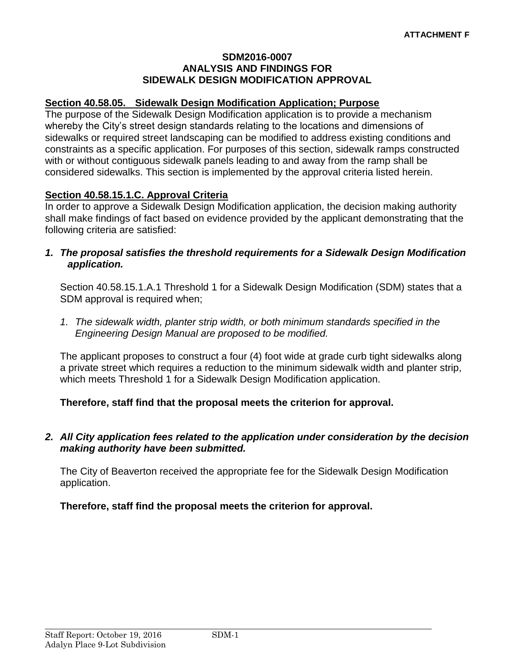#### **SDM2016-0007 ANALYSIS AND FINDINGS FOR SIDEWALK DESIGN MODIFICATION APPROVAL**

#### **Section 40.58.05. Sidewalk Design Modification Application; Purpose**

The purpose of the Sidewalk Design Modification application is to provide a mechanism whereby the City's street design standards relating to the locations and dimensions of sidewalks or required street landscaping can be modified to address existing conditions and constraints as a specific application. For purposes of this section, sidewalk ramps constructed with or without contiguous sidewalk panels leading to and away from the ramp shall be considered sidewalks. This section is implemented by the approval criteria listed herein.

## **Section 40.58.15.1.C. Approval Criteria**

In order to approve a Sidewalk Design Modification application, the decision making authority shall make findings of fact based on evidence provided by the applicant demonstrating that the following criteria are satisfied:

*1. The proposal satisfies the threshold requirements for a Sidewalk Design Modification application.*

Section 40.58.15.1.A.1 Threshold 1 for a Sidewalk Design Modification (SDM) states that a SDM approval is required when;

*1. The sidewalk width, planter strip width, or both minimum standards specified in the Engineering Design Manual are proposed to be modified.*

The applicant proposes to construct a four (4) foot wide at grade curb tight sidewalks along a private street which requires a reduction to the minimum sidewalk width and planter strip, which meets Threshold 1 for a Sidewalk Design Modification application.

## **Therefore, staff find that the proposal meets the criterion for approval.**

#### *2. All City application fees related to the application under consideration by the decision making authority have been submitted.*

The City of Beaverton received the appropriate fee for the Sidewalk Design Modification application.

#### **Therefore, staff find the proposal meets the criterion for approval.**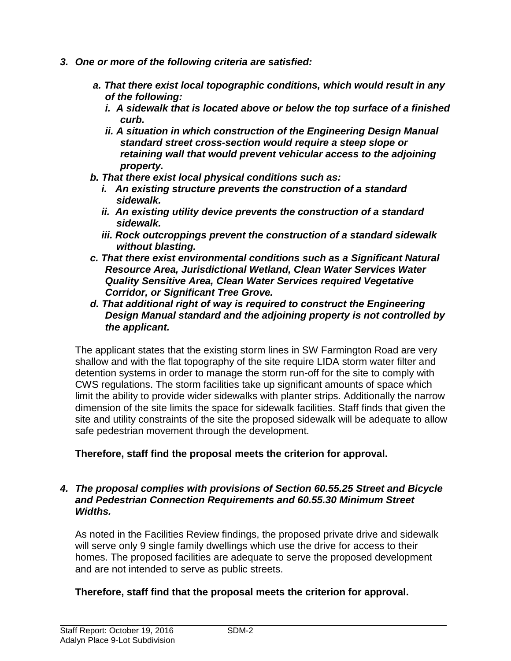- *3. One or more of the following criteria are satisfied:*
	- *a. That there exist local topographic conditions, which would result in any of the following:*
		- *i. A sidewalk that is located above or below the top surface of a finished curb.*
		- *ii. A situation in which construction of the Engineering Design Manual standard street cross-section would require a steep slope or retaining wall that would prevent vehicular access to the adjoining property.*
	- *b. That there exist local physical conditions such as:*
		- *i. An existing structure prevents the construction of a standard sidewalk.*
		- *ii. An existing utility device prevents the construction of a standard sidewalk.*
		- *iii. Rock outcroppings prevent the construction of a standard sidewalk without blasting.*
	- *c. That there exist environmental conditions such as a Significant Natural Resource Area, Jurisdictional Wetland, Clean Water Services Water Quality Sensitive Area, Clean Water Services required Vegetative Corridor, or Significant Tree Grove.*
	- *d. That additional right of way is required to construct the Engineering Design Manual standard and the adjoining property is not controlled by the applicant.*

The applicant states that the existing storm lines in SW Farmington Road are very shallow and with the flat topography of the site require LIDA storm water filter and detention systems in order to manage the storm run-off for the site to comply with CWS regulations. The storm facilities take up significant amounts of space which limit the ability to provide wider sidewalks with planter strips. Additionally the narrow dimension of the site limits the space for sidewalk facilities. Staff finds that given the site and utility constraints of the site the proposed sidewalk will be adequate to allow safe pedestrian movement through the development.

## **Therefore, staff find the proposal meets the criterion for approval.**

#### *4. The proposal complies with provisions of Section 60.55.25 Street and Bicycle and Pedestrian Connection Requirements and 60.55.30 Minimum Street Widths.*

As noted in the Facilities Review findings, the proposed private drive and sidewalk will serve only 9 single family dwellings which use the drive for access to their homes. The proposed facilities are adequate to serve the proposed development and are not intended to serve as public streets.

## **Therefore, staff find that the proposal meets the criterion for approval.**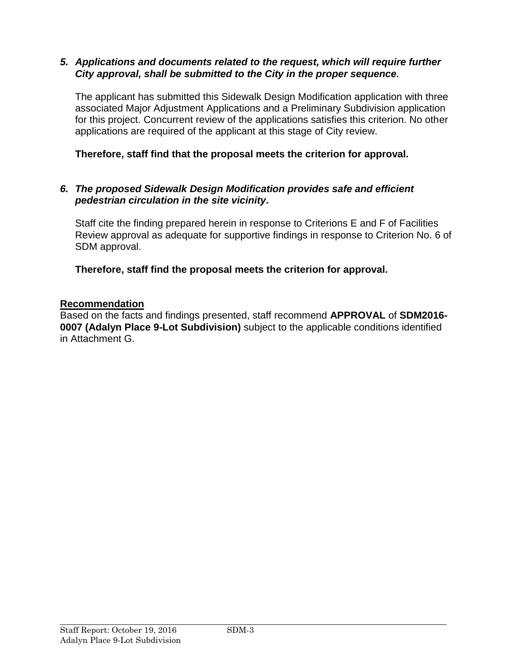## *5. Applications and documents related to the request, which will require further City approval, shall be submitted to the City in the proper sequence.*

The applicant has submitted this Sidewalk Design Modification application with three associated Major Adjustment Applications and a Preliminary Subdivision application for this project. Concurrent review of the applications satisfies this criterion. No other applications are required of the applicant at this stage of City review.

**Therefore, staff find that the proposal meets the criterion for approval.**

## *6. The proposed Sidewalk Design Modification provides safe and efficient pedestrian circulation in the site vicinity***.**

Staff cite the finding prepared herein in response to Criterions E and F of Facilities Review approval as adequate for supportive findings in response to Criterion No. 6 of SDM approval.

**Therefore, staff find the proposal meets the criterion for approval.**

## **Recommendation**

Based on the facts and findings presented, staff recommend **APPROVAL** of **SDM2016- 0007 (Adalyn Place 9-Lot Subdivision)** subject to the applicable conditions identified in Attachment G.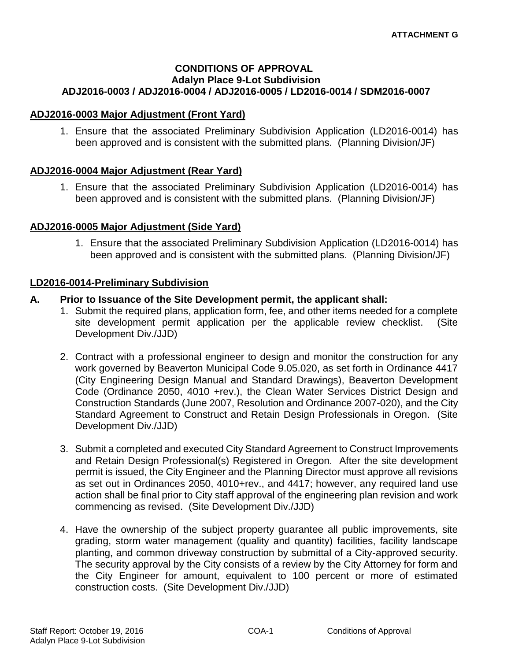#### **CONDITIONS OF APPROVAL Adalyn Place 9-Lot Subdivision ADJ2016-0003 / ADJ2016-0004 / ADJ2016-0005 / LD2016-0014 / SDM2016-0007**

#### **ADJ2016-0003 Major Adjustment (Front Yard)**

1. Ensure that the associated Preliminary Subdivision Application (LD2016-0014) has been approved and is consistent with the submitted plans. (Planning Division/JF)

#### **ADJ2016-0004 Major Adjustment (Rear Yard)**

1. Ensure that the associated Preliminary Subdivision Application (LD2016-0014) has been approved and is consistent with the submitted plans. (Planning Division/JF)

#### **ADJ2016-0005 Major Adjustment (Side Yard)**

1. Ensure that the associated Preliminary Subdivision Application (LD2016-0014) has been approved and is consistent with the submitted plans. (Planning Division/JF)

#### **LD2016-0014-Preliminary Subdivision**

#### **A. Prior to Issuance of the Site Development permit, the applicant shall:**

- 1. Submit the required plans, application form, fee, and other items needed for a complete site development permit application per the applicable review checklist. (Site Development Div./JJD)
- 2. Contract with a professional engineer to design and monitor the construction for any work governed by Beaverton Municipal Code 9.05.020, as set forth in Ordinance 4417 (City Engineering Design Manual and Standard Drawings), Beaverton Development Code (Ordinance 2050, 4010 +rev.), the Clean Water Services District Design and Construction Standards (June 2007, Resolution and Ordinance 2007-020), and the City Standard Agreement to Construct and Retain Design Professionals in Oregon. (Site Development Div./JJD)
- 3. Submit a completed and executed City Standard Agreement to Construct Improvements and Retain Design Professional(s) Registered in Oregon. After the site development permit is issued, the City Engineer and the Planning Director must approve all revisions as set out in Ordinances 2050, 4010+rev., and 4417; however, any required land use action shall be final prior to City staff approval of the engineering plan revision and work commencing as revised. (Site Development Div./JJD)
- 4. Have the ownership of the subject property guarantee all public improvements, site grading, storm water management (quality and quantity) facilities, facility landscape planting, and common driveway construction by submittal of a City-approved security. The security approval by the City consists of a review by the City Attorney for form and the City Engineer for amount, equivalent to 100 percent or more of estimated construction costs. (Site Development Div./JJD)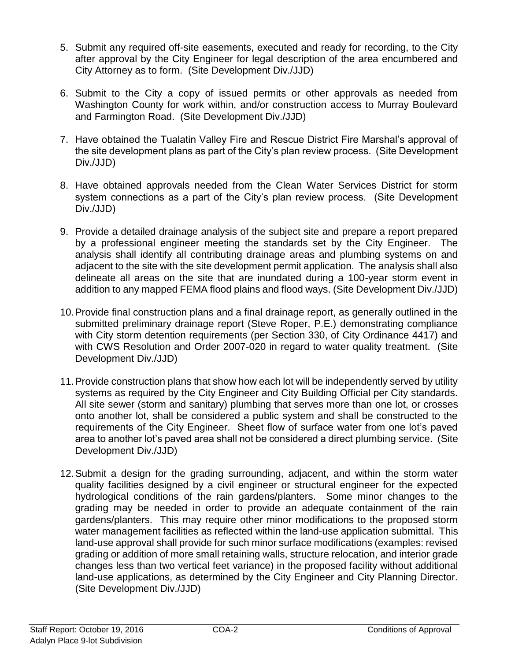- 5. Submit any required off-site easements, executed and ready for recording, to the City after approval by the City Engineer for legal description of the area encumbered and City Attorney as to form. (Site Development Div./JJD)
- 6. Submit to the City a copy of issued permits or other approvals as needed from Washington County for work within, and/or construction access to Murray Boulevard and Farmington Road. (Site Development Div./JJD)
- 7. Have obtained the Tualatin Valley Fire and Rescue District Fire Marshal's approval of the site development plans as part of the City's plan review process. (Site Development Div./JJD)
- 8. Have obtained approvals needed from the Clean Water Services District for storm system connections as a part of the City's plan review process. (Site Development Div./JJD)
- 9. Provide a detailed drainage analysis of the subject site and prepare a report prepared by a professional engineer meeting the standards set by the City Engineer. The analysis shall identify all contributing drainage areas and plumbing systems on and adjacent to the site with the site development permit application. The analysis shall also delineate all areas on the site that are inundated during a 100-year storm event in addition to any mapped FEMA flood plains and flood ways. (Site Development Div./JJD)
- 10.Provide final construction plans and a final drainage report, as generally outlined in the submitted preliminary drainage report (Steve Roper, P.E.) demonstrating compliance with City storm detention requirements (per Section 330, of City Ordinance 4417) and with CWS Resolution and Order 2007-020 in regard to water quality treatment. (Site Development Div./JJD)
- 11.Provide construction plans that show how each lot will be independently served by utility systems as required by the City Engineer and City Building Official per City standards. All site sewer (storm and sanitary) plumbing that serves more than one lot, or crosses onto another lot, shall be considered a public system and shall be constructed to the requirements of the City Engineer. Sheet flow of surface water from one lot's paved area to another lot's paved area shall not be considered a direct plumbing service. (Site Development Div./JJD)
- 12.Submit a design for the grading surrounding, adjacent, and within the storm water quality facilities designed by a civil engineer or structural engineer for the expected hydrological conditions of the rain gardens/planters. Some minor changes to the grading may be needed in order to provide an adequate containment of the rain gardens/planters. This may require other minor modifications to the proposed storm water management facilities as reflected within the land-use application submittal. This land-use approval shall provide for such minor surface modifications (examples: revised grading or addition of more small retaining walls, structure relocation, and interior grade changes less than two vertical feet variance) in the proposed facility without additional land-use applications, as determined by the City Engineer and City Planning Director. (Site Development Div./JJD)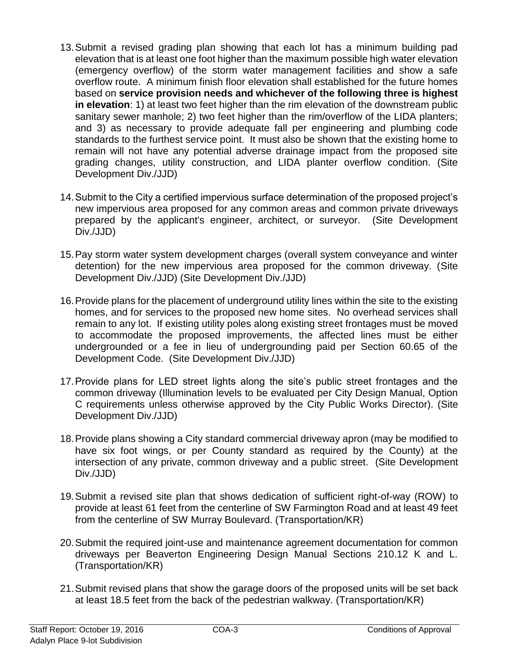- 13.Submit a revised grading plan showing that each lot has a minimum building pad elevation that is at least one foot higher than the maximum possible high water elevation (emergency overflow) of the storm water management facilities and show a safe overflow route. A minimum finish floor elevation shall established for the future homes based on **service provision needs and whichever of the following three is highest in elevation**: 1) at least two feet higher than the rim elevation of the downstream public sanitary sewer manhole; 2) two feet higher than the rim/overflow of the LIDA planters; and 3) as necessary to provide adequate fall per engineering and plumbing code standards to the furthest service point. It must also be shown that the existing home to remain will not have any potential adverse drainage impact from the proposed site grading changes, utility construction, and LIDA planter overflow condition. (Site Development Div./JJD)
- 14.Submit to the City a certified impervious surface determination of the proposed project's new impervious area proposed for any common areas and common private driveways prepared by the applicant's engineer, architect, or surveyor. (Site Development Div./JJD)
- 15.Pay storm water system development charges (overall system conveyance and winter detention) for the new impervious area proposed for the common driveway. (Site Development Div./JJD) (Site Development Div./JJD)
- 16.Provide plans for the placement of underground utility lines within the site to the existing homes, and for services to the proposed new home sites. No overhead services shall remain to any lot. If existing utility poles along existing street frontages must be moved to accommodate the proposed improvements, the affected lines must be either undergrounded or a fee in lieu of undergrounding paid per Section 60.65 of the Development Code. (Site Development Div./JJD)
- 17.Provide plans for LED street lights along the site's public street frontages and the common driveway (Illumination levels to be evaluated per City Design Manual, Option C requirements unless otherwise approved by the City Public Works Director). (Site Development Div./JJD)
- 18.Provide plans showing a City standard commercial driveway apron (may be modified to have six foot wings, or per County standard as required by the County) at the intersection of any private, common driveway and a public street. (Site Development Div./JJD)
- 19.Submit a revised site plan that shows dedication of sufficient right-of-way (ROW) to provide at least 61 feet from the centerline of SW Farmington Road and at least 49 feet from the centerline of SW Murray Boulevard. (Transportation/KR)
- 20.Submit the required joint-use and maintenance agreement documentation for common driveways per Beaverton Engineering Design Manual Sections 210.12 K and L. (Transportation/KR)
- 21.Submit revised plans that show the garage doors of the proposed units will be set back at least 18.5 feet from the back of the pedestrian walkway. (Transportation/KR)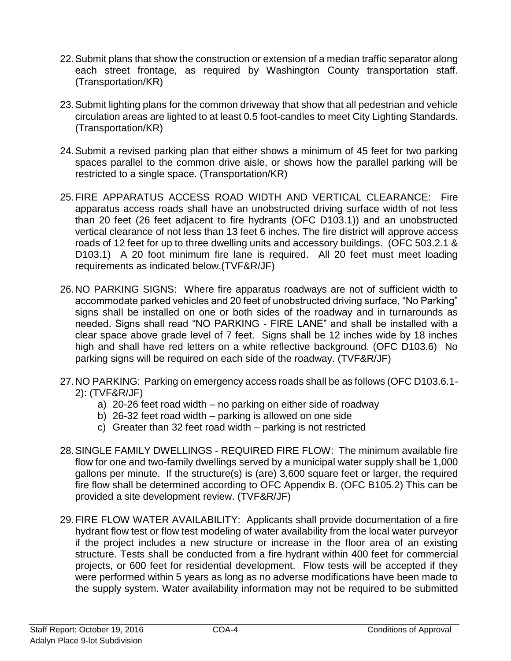- 22.Submit plans that show the construction or extension of a median traffic separator along each street frontage, as required by Washington County transportation staff. (Transportation/KR)
- 23.Submit lighting plans for the common driveway that show that all pedestrian and vehicle circulation areas are lighted to at least 0.5 foot-candles to meet City Lighting Standards. (Transportation/KR)
- 24.Submit a revised parking plan that either shows a minimum of 45 feet for two parking spaces parallel to the common drive aisle, or shows how the parallel parking will be restricted to a single space. (Transportation/KR)
- 25.FIRE APPARATUS ACCESS ROAD WIDTH AND VERTICAL CLEARANCE: Fire apparatus access roads shall have an unobstructed driving surface width of not less than 20 feet (26 feet adjacent to fire hydrants (OFC D103.1)) and an unobstructed vertical clearance of not less than 13 feet 6 inches. The fire district will approve access roads of 12 feet for up to three dwelling units and accessory buildings. (OFC 503.2.1 & D103.1) A 20 foot minimum fire lane is required. All 20 feet must meet loading requirements as indicated below.(TVF&R/JF)
- 26.NO PARKING SIGNS: Where fire apparatus roadways are not of sufficient width to accommodate parked vehicles and 20 feet of unobstructed driving surface, "No Parking" signs shall be installed on one or both sides of the roadway and in turnarounds as needed. Signs shall read "NO PARKING - FIRE LANE" and shall be installed with a clear space above grade level of 7 feet. Signs shall be 12 inches wide by 18 inches high and shall have red letters on a white reflective background. (OFC D103.6) No parking signs will be required on each side of the roadway. (TVF&R/JF)
- 27.NO PARKING: Parking on emergency access roads shall be as follows (OFC D103.6.1- 2): (TVF&R/JF)
	- a) 20-26 feet road width no parking on either side of roadway
	- b) 26-32 feet road width parking is allowed on one side
	- c) Greater than 32 feet road width parking is not restricted
- 28.SINGLE FAMILY DWELLINGS REQUIRED FIRE FLOW: The minimum available fire flow for one and two-family dwellings served by a municipal water supply shall be 1,000 gallons per minute. If the structure(s) is (are) 3,600 square feet or larger, the required fire flow shall be determined according to OFC Appendix B. (OFC B105.2) This can be provided a site development review. (TVF&R/JF)
- 29.FIRE FLOW WATER AVAILABILITY: Applicants shall provide documentation of a fire hydrant flow test or flow test modeling of water availability from the local water purveyor if the project includes a new structure or increase in the floor area of an existing structure. Tests shall be conducted from a fire hydrant within 400 feet for commercial projects, or 600 feet for residential development. Flow tests will be accepted if they were performed within 5 years as long as no adverse modifications have been made to the supply system. Water availability information may not be required to be submitted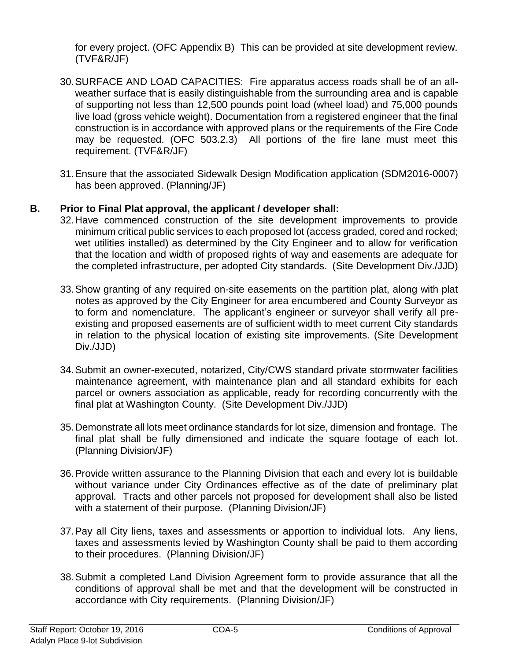for every project. (OFC Appendix B) This can be provided at site development review. (TVF&R/JF)

- 30.SURFACE AND LOAD CAPACITIES: Fire apparatus access roads shall be of an allweather surface that is easily distinguishable from the surrounding area and is capable of supporting not less than 12,500 pounds point load (wheel load) and 75,000 pounds live load (gross vehicle weight). Documentation from a registered engineer that the final construction is in accordance with approved plans or the requirements of the Fire Code may be requested. (OFC 503.2.3) All portions of the fire lane must meet this requirement. (TVF&R/JF)
- 31.Ensure that the associated Sidewalk Design Modification application (SDM2016-0007) has been approved. (Planning/JF)

# **B. Prior to Final Plat approval, the applicant / developer shall:**

- 32.Have commenced construction of the site development improvements to provide minimum critical public services to each proposed lot (access graded, cored and rocked; wet utilities installed) as determined by the City Engineer and to allow for verification that the location and width of proposed rights of way and easements are adequate for the completed infrastructure, per adopted City standards. (Site Development Div./JJD)
- 33.Show granting of any required on-site easements on the partition plat, along with plat notes as approved by the City Engineer for area encumbered and County Surveyor as to form and nomenclature. The applicant's engineer or surveyor shall verify all preexisting and proposed easements are of sufficient width to meet current City standards in relation to the physical location of existing site improvements. (Site Development Div./JJD)
- 34.Submit an owner-executed, notarized, City/CWS standard private stormwater facilities maintenance agreement, with maintenance plan and all standard exhibits for each parcel or owners association as applicable, ready for recording concurrently with the final plat at Washington County. (Site Development Div./JJD)
- 35.Demonstrate all lots meet ordinance standards for lot size, dimension and frontage. The final plat shall be fully dimensioned and indicate the square footage of each lot. (Planning Division/JF)
- 36.Provide written assurance to the Planning Division that each and every lot is buildable without variance under City Ordinances effective as of the date of preliminary plat approval. Tracts and other parcels not proposed for development shall also be listed with a statement of their purpose. (Planning Division/JF)
- 37.Pay all City liens, taxes and assessments or apportion to individual lots. Any liens, taxes and assessments levied by Washington County shall be paid to them according to their procedures. (Planning Division/JF)
- 38.Submit a completed Land Division Agreement form to provide assurance that all the conditions of approval shall be met and that the development will be constructed in accordance with City requirements. (Planning Division/JF)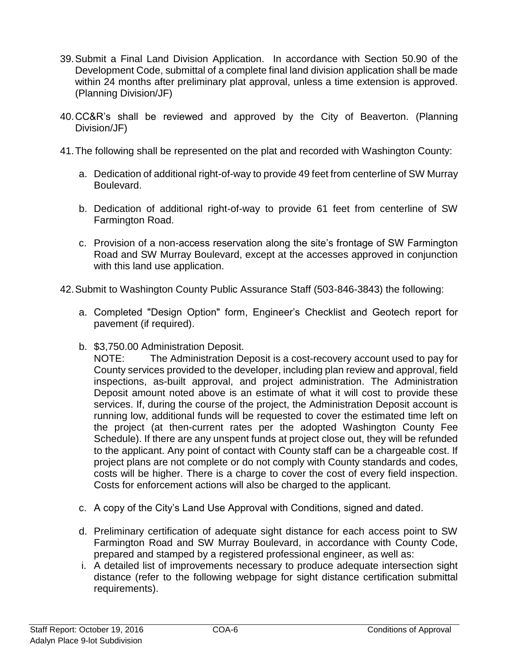- 39.Submit a Final Land Division Application. In accordance with Section 50.90 of the Development Code, submittal of a complete final land division application shall be made within 24 months after preliminary plat approval, unless a time extension is approved. (Planning Division/JF)
- 40.CC&R's shall be reviewed and approved by the City of Beaverton. (Planning Division/JF)
- 41.The following shall be represented on the plat and recorded with Washington County:
	- a. Dedication of additional right-of-way to provide 49 feet from centerline of SW Murray Boulevard.
	- b. Dedication of additional right-of-way to provide 61 feet from centerline of SW Farmington Road.
	- c. Provision of a non-access reservation along the site's frontage of SW Farmington Road and SW Murray Boulevard, except at the accesses approved in conjunction with this land use application.
- 42.Submit to Washington County Public Assurance Staff (503-846-3843) the following:
	- a. Completed "Design Option" form, Engineer's Checklist and Geotech report for pavement (if required).
	- b. \$3,750.00 Administration Deposit.

NOTE: The Administration Deposit is a cost-recovery account used to pay for County services provided to the developer, including plan review and approval, field inspections, as-built approval, and project administration. The Administration Deposit amount noted above is an estimate of what it will cost to provide these services. If, during the course of the project, the Administration Deposit account is running low, additional funds will be requested to cover the estimated time left on the project (at then-current rates per the adopted Washington County Fee Schedule). If there are any unspent funds at project close out, they will be refunded to the applicant. Any point of contact with County staff can be a chargeable cost. If project plans are not complete or do not comply with County standards and codes, costs will be higher. There is a charge to cover the cost of every field inspection. Costs for enforcement actions will also be charged to the applicant.

- c. A copy of the City's Land Use Approval with Conditions, signed and dated.
- d. Preliminary certification of adequate sight distance for each access point to SW Farmington Road and SW Murray Boulevard, in accordance with County Code, prepared and stamped by a registered professional engineer, as well as:
- i. A detailed list of improvements necessary to produce adequate intersection sight distance (refer to the following webpage for sight distance certification submittal requirements).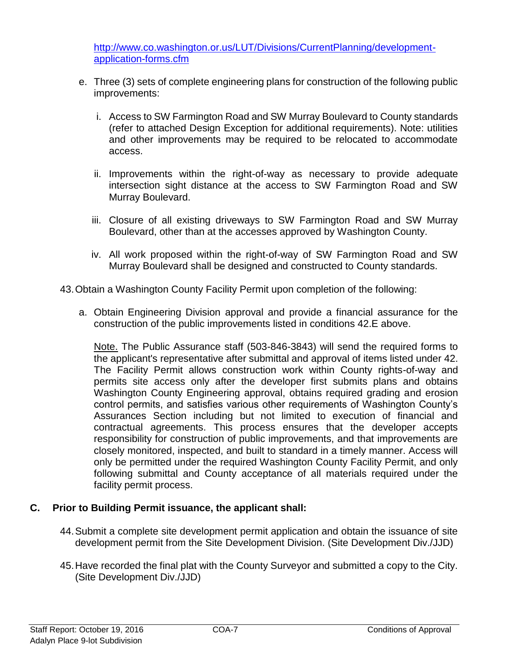[http://www.co.washington.or.us/LUT/Divisions/CurrentPlanning/development](http://www.co.washington.or.us/LUT/Divisions/CurrentPlanning/development-application-forms.cfm)[application-forms.cfm](http://www.co.washington.or.us/LUT/Divisions/CurrentPlanning/development-application-forms.cfm)

- e. Three (3) sets of complete engineering plans for construction of the following public improvements:
	- i. Access to SW Farmington Road and SW Murray Boulevard to County standards (refer to attached Design Exception for additional requirements). Note: utilities and other improvements may be required to be relocated to accommodate access.
	- ii. Improvements within the right-of-way as necessary to provide adequate intersection sight distance at the access to SW Farmington Road and SW Murray Boulevard.
	- iii. Closure of all existing driveways to SW Farmington Road and SW Murray Boulevard, other than at the accesses approved by Washington County.
	- iv. All work proposed within the right-of-way of SW Farmington Road and SW Murray Boulevard shall be designed and constructed to County standards.
- 43.Obtain a Washington County Facility Permit upon completion of the following:
	- a. Obtain Engineering Division approval and provide a financial assurance for the construction of the public improvements listed in conditions 42.E above.

Note. The Public Assurance staff (503-846-3843) will send the required forms to the applicant's representative after submittal and approval of items listed under 42. The Facility Permit allows construction work within County rights-of-way and permits site access only after the developer first submits plans and obtains Washington County Engineering approval, obtains required grading and erosion control permits, and satisfies various other requirements of Washington County's Assurances Section including but not limited to execution of financial and contractual agreements. This process ensures that the developer accepts responsibility for construction of public improvements, and that improvements are closely monitored, inspected, and built to standard in a timely manner. Access will only be permitted under the required Washington County Facility Permit, and only following submittal and County acceptance of all materials required under the facility permit process.

## **C. Prior to Building Permit issuance, the applicant shall:**

- 44.Submit a complete site development permit application and obtain the issuance of site development permit from the Site Development Division. (Site Development Div./JJD)
- 45.Have recorded the final plat with the County Surveyor and submitted a copy to the City. (Site Development Div./JJD)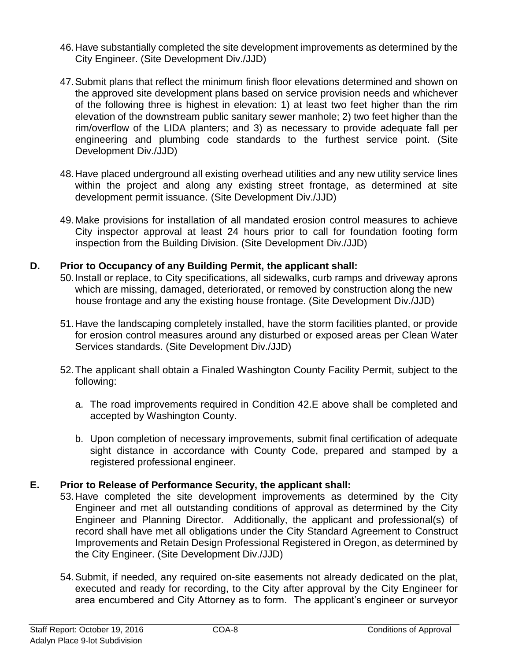- 46.Have substantially completed the site development improvements as determined by the City Engineer. (Site Development Div./JJD)
- 47.Submit plans that reflect the minimum finish floor elevations determined and shown on the approved site development plans based on service provision needs and whichever of the following three is highest in elevation: 1) at least two feet higher than the rim elevation of the downstream public sanitary sewer manhole; 2) two feet higher than the rim/overflow of the LIDA planters; and 3) as necessary to provide adequate fall per engineering and plumbing code standards to the furthest service point. (Site Development Div./JJD)
- 48.Have placed underground all existing overhead utilities and any new utility service lines within the project and along any existing street frontage, as determined at site development permit issuance. (Site Development Div./JJD)
- 49.Make provisions for installation of all mandated erosion control measures to achieve City inspector approval at least 24 hours prior to call for foundation footing form inspection from the Building Division. (Site Development Div./JJD)

# **D. Prior to Occupancy of any Building Permit, the applicant shall:**

- 50.Install or replace, to City specifications, all sidewalks, curb ramps and driveway aprons which are missing, damaged, deteriorated, or removed by construction along the new house frontage and any the existing house frontage. (Site Development Div./JJD)
- 51.Have the landscaping completely installed, have the storm facilities planted, or provide for erosion control measures around any disturbed or exposed areas per Clean Water Services standards. (Site Development Div./JJD)
- 52.The applicant shall obtain a Finaled Washington County Facility Permit, subject to the following:
	- a. The road improvements required in Condition 42.E above shall be completed and accepted by Washington County.
	- b. Upon completion of necessary improvements, submit final certification of adequate sight distance in accordance with County Code, prepared and stamped by a registered professional engineer.

# **E. Prior to Release of Performance Security, the applicant shall:**

- 53.Have completed the site development improvements as determined by the City Engineer and met all outstanding conditions of approval as determined by the City Engineer and Planning Director. Additionally, the applicant and professional(s) of record shall have met all obligations under the City Standard Agreement to Construct Improvements and Retain Design Professional Registered in Oregon, as determined by the City Engineer. (Site Development Div./JJD)
- 54.Submit, if needed, any required on-site easements not already dedicated on the plat, executed and ready for recording, to the City after approval by the City Engineer for area encumbered and City Attorney as to form. The applicant's engineer or surveyor